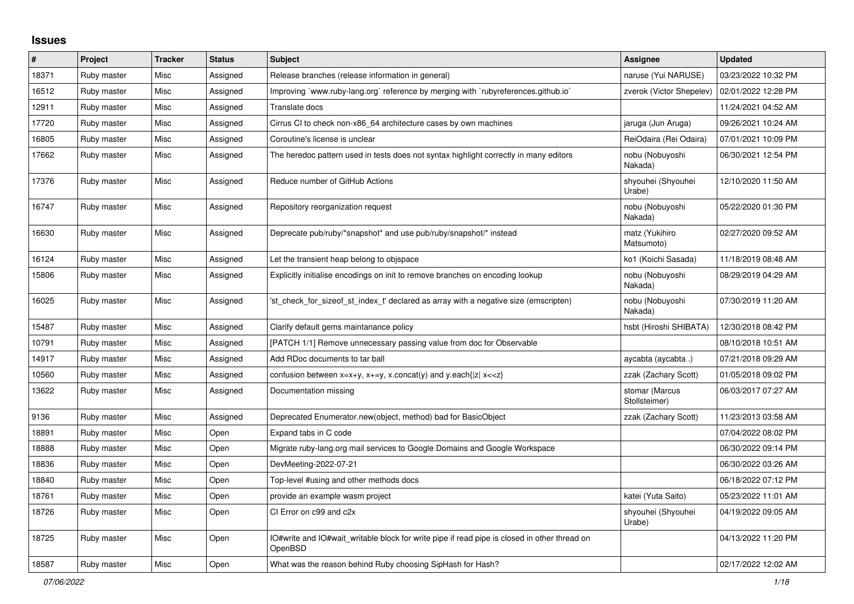## **Issues**

| $\sharp$ | Project     | <b>Tracker</b> | <b>Status</b> | <b>Subject</b>                                                                                          | <b>Assignee</b>                 | <b>Updated</b>      |
|----------|-------------|----------------|---------------|---------------------------------------------------------------------------------------------------------|---------------------------------|---------------------|
| 18371    | Ruby master | Misc           | Assigned      | Release branches (release information in general)                                                       | naruse (Yui NARUSE)             | 03/23/2022 10:32 PM |
| 16512    | Ruby master | Misc           | Assigned      | Improving `www.ruby-lang.org` reference by merging with `rubyreferences.github.io`                      | zverok (Victor Shepelev)        | 02/01/2022 12:28 PM |
| 12911    | Ruby master | Misc           | Assigned      | Translate docs                                                                                          |                                 | 11/24/2021 04:52 AM |
| 17720    | Ruby master | Misc           | Assigned      | Cirrus CI to check non-x86_64 architecture cases by own machines                                        | jaruga (Jun Aruga)              | 09/26/2021 10:24 AM |
| 16805    | Ruby master | Misc           | Assigned      | Coroutine's license is unclear                                                                          | ReiOdaira (Rei Odaira)          | 07/01/2021 10:09 PM |
| 17662    | Ruby master | Misc           | Assigned      | The heredoc pattern used in tests does not syntax highlight correctly in many editors                   | nobu (Nobuyoshi<br>Nakada)      | 06/30/2021 12:54 PM |
| 17376    | Ruby master | Misc           | Assigned      | Reduce number of GitHub Actions                                                                         | shyouhei (Shyouhei<br>Urabe)    | 12/10/2020 11:50 AM |
| 16747    | Ruby master | Misc           | Assigned      | Repository reorganization request                                                                       | nobu (Nobuyoshi<br>Nakada)      | 05/22/2020 01:30 PM |
| 16630    | Ruby master | Misc           | Assigned      | Deprecate pub/ruby/*snapshot* and use pub/ruby/snapshot/* instead                                       | matz (Yukihiro<br>Matsumoto)    | 02/27/2020 09:52 AM |
| 16124    | Ruby master | Misc           | Assigned      | Let the transient heap belong to objspace                                                               | ko1 (Koichi Sasada)             | 11/18/2019 08:48 AM |
| 15806    | Ruby master | Misc           | Assigned      | Explicitly initialise encodings on init to remove branches on encoding lookup                           | nobu (Nobuyoshi<br>Nakada)      | 08/29/2019 04:29 AM |
| 16025    | Ruby master | Misc           | Assigned      | 'st check for sizeof st index t' declared as array with a negative size (emscripten)                    | nobu (Nobuyoshi<br>Nakada)      | 07/30/2019 11:20 AM |
| 15487    | Ruby master | Misc           | Assigned      | Clarify default gems maintanance policy                                                                 | hsbt (Hiroshi SHIBATA)          | 12/30/2018 08:42 PM |
| 10791    | Ruby master | Misc           | Assigned      | [PATCH 1/1] Remove unnecessary passing value from doc for Observable                                    |                                 | 08/10/2018 10:51 AM |
| 14917    | Ruby master | Misc           | Assigned      | Add RDoc documents to tar ball                                                                          | aycabta (aycabta.)              | 07/21/2018 09:29 AM |
| 10560    | Ruby master | Misc           | Assigned      | confusion between $x=x+y$ , $x+=y$ , x.concat(y) and y.each{ z  $x<}$                                   | zzak (Zachary Scott)            | 01/05/2018 09:02 PM |
| 13622    | Ruby master | Misc           | Assigned      | Documentation missing                                                                                   | stomar (Marcus<br>Stollsteimer) | 06/03/2017 07:27 AM |
| 9136     | Ruby master | Misc           | Assigned      | Deprecated Enumerator.new(object, method) bad for BasicObject                                           | zzak (Zachary Scott)            | 11/23/2013 03:58 AM |
| 18891    | Ruby master | Misc           | Open          | Expand tabs in C code                                                                                   |                                 | 07/04/2022 08:02 PM |
| 18888    | Ruby master | Misc           | Open          | Migrate ruby-lang.org mail services to Google Domains and Google Workspace                              |                                 | 06/30/2022 09:14 PM |
| 18836    | Ruby master | Misc           | Open          | DevMeeting-2022-07-21                                                                                   |                                 | 06/30/2022 03:26 AM |
| 18840    | Ruby master | Misc           | Open          | Top-level #using and other methods docs                                                                 |                                 | 06/18/2022 07:12 PM |
| 18761    | Ruby master | Misc           | Open          | provide an example wasm project                                                                         | katei (Yuta Saito)              | 05/23/2022 11:01 AM |
| 18726    | Ruby master | Misc           | Open          | CI Error on c99 and c2x                                                                                 | shyouhei (Shyouhei<br>Urabe)    | 04/19/2022 09:05 AM |
| 18725    | Ruby master | Misc           | Open          | IO#write and IO#wait_writable block for write pipe if read pipe is closed in other thread on<br>OpenBSD |                                 | 04/13/2022 11:20 PM |
| 18587    | Ruby master | Misc           | Open          | What was the reason behind Ruby choosing SipHash for Hash?                                              |                                 | 02/17/2022 12:02 AM |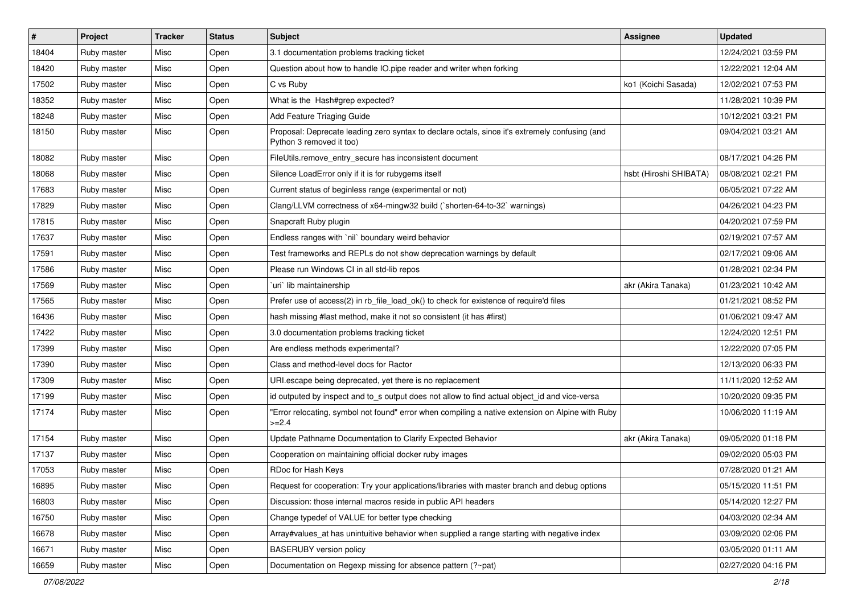| #     | Project     | <b>Tracker</b> | <b>Status</b> | <b>Subject</b>                                                                                                             | Assignee               | <b>Updated</b>      |
|-------|-------------|----------------|---------------|----------------------------------------------------------------------------------------------------------------------------|------------------------|---------------------|
| 18404 | Ruby master | Misc           | Open          | 3.1 documentation problems tracking ticket                                                                                 |                        | 12/24/2021 03:59 PM |
| 18420 | Ruby master | Misc           | Open          | Question about how to handle IO.pipe reader and writer when forking                                                        |                        | 12/22/2021 12:04 AM |
| 17502 | Ruby master | Misc           | Open          | C vs Ruby                                                                                                                  | ko1 (Koichi Sasada)    | 12/02/2021 07:53 PM |
| 18352 | Ruby master | Misc           | Open          | What is the Hash#grep expected?                                                                                            |                        | 11/28/2021 10:39 PM |
| 18248 | Ruby master | Misc           | Open          | Add Feature Triaging Guide                                                                                                 |                        | 10/12/2021 03:21 PM |
| 18150 | Ruby master | Misc           | Open          | Proposal: Deprecate leading zero syntax to declare octals, since it's extremely confusing (and<br>Python 3 removed it too) |                        | 09/04/2021 03:21 AM |
| 18082 | Ruby master | Misc           | Open          | FileUtils.remove entry secure has inconsistent document                                                                    |                        | 08/17/2021 04:26 PM |
| 18068 | Ruby master | Misc           | Open          | Silence LoadError only if it is for rubygems itself                                                                        | hsbt (Hiroshi SHIBATA) | 08/08/2021 02:21 PM |
| 17683 | Ruby master | Misc           | Open          | Current status of beginless range (experimental or not)                                                                    |                        | 06/05/2021 07:22 AM |
| 17829 | Ruby master | Misc           | Open          | Clang/LLVM correctness of x64-mingw32 build (`shorten-64-to-32` warnings)                                                  |                        | 04/26/2021 04:23 PM |
| 17815 | Ruby master | Misc           | Open          | Snapcraft Ruby plugin                                                                                                      |                        | 04/20/2021 07:59 PM |
| 17637 | Ruby master | Misc           | Open          | Endless ranges with `nil` boundary weird behavior                                                                          |                        | 02/19/2021 07:57 AM |
| 17591 | Ruby master | Misc           | Open          | Test frameworks and REPLs do not show deprecation warnings by default                                                      |                        | 02/17/2021 09:06 AM |
| 17586 | Ruby master | Misc           | Open          | Please run Windows CI in all std-lib repos                                                                                 |                        | 01/28/2021 02:34 PM |
| 17569 | Ruby master | Misc           | Open          | uri`lib maintainership                                                                                                     | akr (Akira Tanaka)     | 01/23/2021 10:42 AM |
| 17565 | Ruby master | Misc           | Open          | Prefer use of access(2) in rb file load ok() to check for existence of require'd files                                     |                        | 01/21/2021 08:52 PM |
| 16436 | Ruby master | Misc           | Open          | hash missing #last method, make it not so consistent (it has #first)                                                       |                        | 01/06/2021 09:47 AM |
| 17422 | Ruby master | Misc           | Open          | 3.0 documentation problems tracking ticket                                                                                 |                        | 12/24/2020 12:51 PM |
| 17399 | Ruby master | Misc           | Open          | Are endless methods experimental?                                                                                          |                        | 12/22/2020 07:05 PM |
| 17390 | Ruby master | Misc           | Open          | Class and method-level docs for Ractor                                                                                     |                        | 12/13/2020 06:33 PM |
| 17309 | Ruby master | Misc           | Open          | URI.escape being deprecated, yet there is no replacement                                                                   |                        | 11/11/2020 12:52 AM |
| 17199 | Ruby master | Misc           | Open          | id outputed by inspect and to_s output does not allow to find actual object_id and vice-versa                              |                        | 10/20/2020 09:35 PM |
| 17174 | Ruby master | Misc           | Open          | 'Error relocating, symbol not found" error when compiling a native extension on Alpine with Ruby<br>$>=2.4$                |                        | 10/06/2020 11:19 AM |
| 17154 | Ruby master | Misc           | Open          | Update Pathname Documentation to Clarify Expected Behavior                                                                 | akr (Akira Tanaka)     | 09/05/2020 01:18 PM |
| 17137 | Ruby master | Misc           | Open          | Cooperation on maintaining official docker ruby images                                                                     |                        | 09/02/2020 05:03 PM |
| 17053 | Ruby master | Misc           | Open          | RDoc for Hash Keys                                                                                                         |                        | 07/28/2020 01:21 AM |
| 16895 | Ruby master | Misc           | Open          | Request for cooperation: Try your applications/libraries with master branch and debug options                              |                        | 05/15/2020 11:51 PM |
| 16803 | Ruby master | Misc           | Open          | Discussion: those internal macros reside in public API headers                                                             |                        | 05/14/2020 12:27 PM |
| 16750 | Ruby master | Misc           | Open          | Change typedef of VALUE for better type checking                                                                           |                        | 04/03/2020 02:34 AM |
| 16678 | Ruby master | Misc           | Open          | Array#values_at has unintuitive behavior when supplied a range starting with negative index                                |                        | 03/09/2020 02:06 PM |
| 16671 | Ruby master | Misc           | Open          | <b>BASERUBY</b> version policy                                                                                             |                        | 03/05/2020 01:11 AM |
| 16659 | Ruby master | Misc           | Open          | Documentation on Regexp missing for absence pattern (?~pat)                                                                |                        | 02/27/2020 04:16 PM |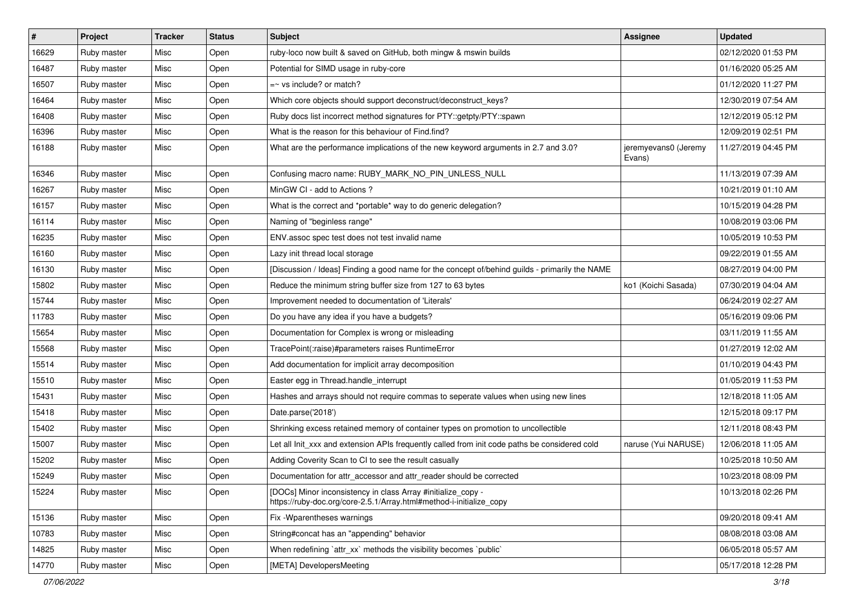| $\vert$ # | Project     | <b>Tracker</b> | <b>Status</b> | Subject                                                                                                                             | Assignee                       | <b>Updated</b>      |
|-----------|-------------|----------------|---------------|-------------------------------------------------------------------------------------------------------------------------------------|--------------------------------|---------------------|
| 16629     | Ruby master | Misc           | Open          | ruby-loco now built & saved on GitHub, both mingw & mswin builds                                                                    |                                | 02/12/2020 01:53 PM |
| 16487     | Ruby master | Misc           | Open          | Potential for SIMD usage in ruby-core                                                                                               |                                | 01/16/2020 05:25 AM |
| 16507     | Ruby master | Misc           | Open          | $=$ vs include? or match?                                                                                                           |                                | 01/12/2020 11:27 PM |
| 16464     | Ruby master | Misc           | Open          | Which core objects should support deconstruct/deconstruct_keys?                                                                     |                                | 12/30/2019 07:54 AM |
| 16408     | Ruby master | Misc           | Open          | Ruby docs list incorrect method signatures for PTY::getpty/PTY::spawn                                                               |                                | 12/12/2019 05:12 PM |
| 16396     | Ruby master | Misc           | Open          | What is the reason for this behaviour of Find.find?                                                                                 |                                | 12/09/2019 02:51 PM |
| 16188     | Ruby master | Misc           | Open          | What are the performance implications of the new keyword arguments in 2.7 and 3.0?                                                  | jeremyevans0 (Jeremy<br>Evans) | 11/27/2019 04:45 PM |
| 16346     | Ruby master | Misc           | Open          | Confusing macro name: RUBY_MARK_NO_PIN_UNLESS_NULL                                                                                  |                                | 11/13/2019 07:39 AM |
| 16267     | Ruby master | Misc           | Open          | MinGW CI - add to Actions ?                                                                                                         |                                | 10/21/2019 01:10 AM |
| 16157     | Ruby master | Misc           | Open          | What is the correct and *portable* way to do generic delegation?                                                                    |                                | 10/15/2019 04:28 PM |
| 16114     | Ruby master | Misc           | Open          | Naming of "beginless range"                                                                                                         |                                | 10/08/2019 03:06 PM |
| 16235     | Ruby master | Misc           | Open          | ENV assoc spec test does not test invalid name                                                                                      |                                | 10/05/2019 10:53 PM |
| 16160     | Ruby master | Misc           | Open          | Lazy init thread local storage                                                                                                      |                                | 09/22/2019 01:55 AM |
| 16130     | Ruby master | Misc           | Open          | [Discussion / Ideas] Finding a good name for the concept of/behind guilds - primarily the NAME                                      |                                | 08/27/2019 04:00 PM |
| 15802     | Ruby master | Misc           | Open          | Reduce the minimum string buffer size from 127 to 63 bytes                                                                          | ko1 (Koichi Sasada)            | 07/30/2019 04:04 AM |
| 15744     | Ruby master | Misc           | Open          | Improvement needed to documentation of 'Literals'                                                                                   |                                | 06/24/2019 02:27 AM |
| 11783     | Ruby master | Misc           | Open          | Do you have any idea if you have a budgets?                                                                                         |                                | 05/16/2019 09:06 PM |
| 15654     | Ruby master | Misc           | Open          | Documentation for Complex is wrong or misleading                                                                                    |                                | 03/11/2019 11:55 AM |
| 15568     | Ruby master | Misc           | Open          | TracePoint(:raise)#parameters raises RuntimeError                                                                                   |                                | 01/27/2019 12:02 AM |
| 15514     | Ruby master | Misc           | Open          | Add documentation for implicit array decomposition                                                                                  |                                | 01/10/2019 04:43 PM |
| 15510     | Ruby master | Misc           | Open          | Easter egg in Thread.handle_interrupt                                                                                               |                                | 01/05/2019 11:53 PM |
| 15431     | Ruby master | Misc           | Open          | Hashes and arrays should not require commas to seperate values when using new lines                                                 |                                | 12/18/2018 11:05 AM |
| 15418     | Ruby master | Misc           | Open          | Date.parse('2018')                                                                                                                  |                                | 12/15/2018 09:17 PM |
| 15402     | Ruby master | Misc           | Open          | Shrinking excess retained memory of container types on promotion to uncollectible                                                   |                                | 12/11/2018 08:43 PM |
| 15007     | Ruby master | Misc           | Open          | Let all Init_xxx and extension APIs frequently called from init code paths be considered cold                                       | naruse (Yui NARUSE)            | 12/06/2018 11:05 AM |
| 15202     | Ruby master | Misc           | Open          | Adding Coverity Scan to CI to see the result casually                                                                               |                                | 10/25/2018 10:50 AM |
| 15249     | Ruby master | Misc           | Open          | Documentation for attr_accessor and attr_reader should be corrected                                                                 |                                | 10/23/2018 08:09 PM |
| 15224     | Ruby master | Misc           | Open          | [DOCs] Minor inconsistency in class Array #initialize_copy -<br>https://ruby-doc.org/core-2.5.1/Array.html#method-i-initialize copy |                                | 10/13/2018 02:26 PM |
| 15136     | Ruby master | Misc           | Open          | Fix - Wparentheses warnings                                                                                                         |                                | 09/20/2018 09:41 AM |
| 10783     | Ruby master | Misc           | Open          | String#concat has an "appending" behavior                                                                                           |                                | 08/08/2018 03:08 AM |
| 14825     | Ruby master | Misc           | Open          | When redefining 'attr_xx' methods the visibility becomes 'public'                                                                   |                                | 06/05/2018 05:57 AM |
| 14770     | Ruby master | Misc           | Open          | [META] DevelopersMeeting                                                                                                            |                                | 05/17/2018 12:28 PM |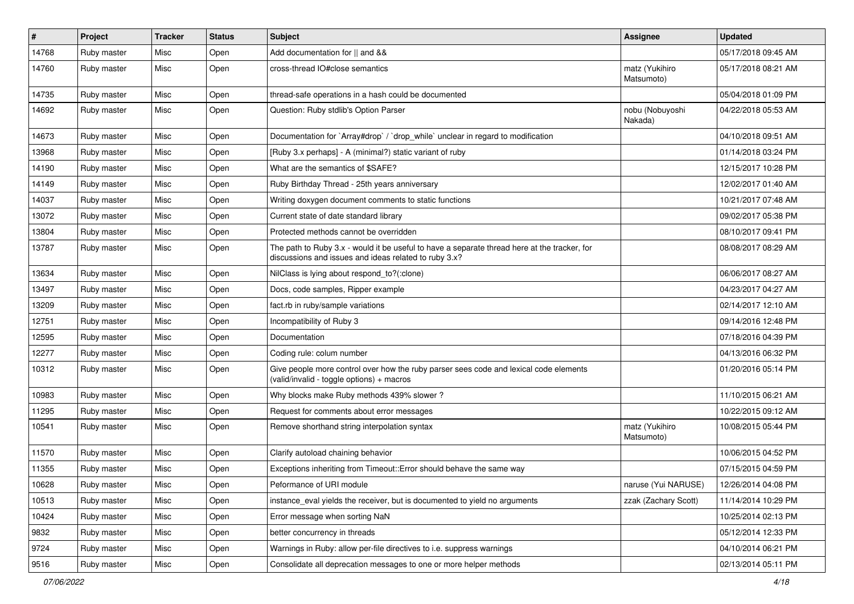| $\pmb{\#}$ | Project     | <b>Tracker</b> | <b>Status</b> | Subject                                                                                                                                               | Assignee                     | <b>Updated</b>      |
|------------|-------------|----------------|---------------|-------------------------------------------------------------------------------------------------------------------------------------------------------|------------------------------|---------------------|
| 14768      | Ruby master | Misc           | Open          | Add documentation for    and &&                                                                                                                       |                              | 05/17/2018 09:45 AM |
| 14760      | Ruby master | Misc           | Open          | cross-thread IO#close semantics                                                                                                                       | matz (Yukihiro<br>Matsumoto) | 05/17/2018 08:21 AM |
| 14735      | Ruby master | Misc           | Open          | thread-safe operations in a hash could be documented                                                                                                  |                              | 05/04/2018 01:09 PM |
| 14692      | Ruby master | Misc           | Open          | Question: Ruby stdlib's Option Parser                                                                                                                 | nobu (Nobuyoshi<br>Nakada)   | 04/22/2018 05:53 AM |
| 14673      | Ruby master | Misc           | Open          | Documentation for `Array#drop` / `drop_while` unclear in regard to modification                                                                       |                              | 04/10/2018 09:51 AM |
| 13968      | Ruby master | Misc           | Open          | [Ruby 3.x perhaps] - A (minimal?) static variant of ruby                                                                                              |                              | 01/14/2018 03:24 PM |
| 14190      | Ruby master | Misc           | Open          | What are the semantics of \$SAFE?                                                                                                                     |                              | 12/15/2017 10:28 PM |
| 14149      | Ruby master | Misc           | Open          | Ruby Birthday Thread - 25th years anniversary                                                                                                         |                              | 12/02/2017 01:40 AM |
| 14037      | Ruby master | Misc           | Open          | Writing doxygen document comments to static functions                                                                                                 |                              | 10/21/2017 07:48 AM |
| 13072      | Ruby master | Misc           | Open          | Current state of date standard library                                                                                                                |                              | 09/02/2017 05:38 PM |
| 13804      | Ruby master | Misc           | Open          | Protected methods cannot be overridden                                                                                                                |                              | 08/10/2017 09:41 PM |
| 13787      | Ruby master | Misc           | Open          | The path to Ruby 3.x - would it be useful to have a separate thread here at the tracker, for<br>discussions and issues and ideas related to ruby 3.x? |                              | 08/08/2017 08:29 AM |
| 13634      | Ruby master | Misc           | Open          | NilClass is lying about respond_to?(:clone)                                                                                                           |                              | 06/06/2017 08:27 AM |
| 13497      | Ruby master | Misc           | Open          | Docs, code samples, Ripper example                                                                                                                    |                              | 04/23/2017 04:27 AM |
| 13209      | Ruby master | Misc           | Open          | fact.rb in ruby/sample variations                                                                                                                     |                              | 02/14/2017 12:10 AM |
| 12751      | Ruby master | Misc           | Open          | Incompatibility of Ruby 3                                                                                                                             |                              | 09/14/2016 12:48 PM |
| 12595      | Ruby master | Misc           | Open          | Documentation                                                                                                                                         |                              | 07/18/2016 04:39 PM |
| 12277      | Ruby master | Misc           | Open          | Coding rule: colum number                                                                                                                             |                              | 04/13/2016 06:32 PM |
| 10312      | Ruby master | Misc           | Open          | Give people more control over how the ruby parser sees code and lexical code elements<br>(valid/invalid - toggle options) + macros                    |                              | 01/20/2016 05:14 PM |
| 10983      | Ruby master | Misc           | Open          | Why blocks make Ruby methods 439% slower?                                                                                                             |                              | 11/10/2015 06:21 AM |
| 11295      | Ruby master | Misc           | Open          | Request for comments about error messages                                                                                                             |                              | 10/22/2015 09:12 AM |
| 10541      | Ruby master | Misc           | Open          | Remove shorthand string interpolation syntax                                                                                                          | matz (Yukihiro<br>Matsumoto) | 10/08/2015 05:44 PM |
| 11570      | Ruby master | Misc           | Open          | Clarify autoload chaining behavior                                                                                                                    |                              | 10/06/2015 04:52 PM |
| 11355      | Ruby master | Misc           | Open          | Exceptions inheriting from Timeout:: Error should behave the same way                                                                                 |                              | 07/15/2015 04:59 PM |
| 10628      | Ruby master | Misc           | Open          | Peformance of URI module                                                                                                                              | naruse (Yui NARUSE)          | 12/26/2014 04:08 PM |
| 10513      | Ruby master | Misc           | Open          | instance_eval yields the receiver, but is documented to yield no arguments                                                                            | zzak (Zachary Scott)         | 11/14/2014 10:29 PM |
| 10424      | Ruby master | Misc           | Open          | Error message when sorting NaN                                                                                                                        |                              | 10/25/2014 02:13 PM |
| 9832       | Ruby master | Misc           | Open          | better concurrency in threads                                                                                                                         |                              | 05/12/2014 12:33 PM |
| 9724       | Ruby master | Misc           | Open          | Warnings in Ruby: allow per-file directives to i.e. suppress warnings                                                                                 |                              | 04/10/2014 06:21 PM |
| 9516       | Ruby master | Misc           | Open          | Consolidate all deprecation messages to one or more helper methods                                                                                    |                              | 02/13/2014 05:11 PM |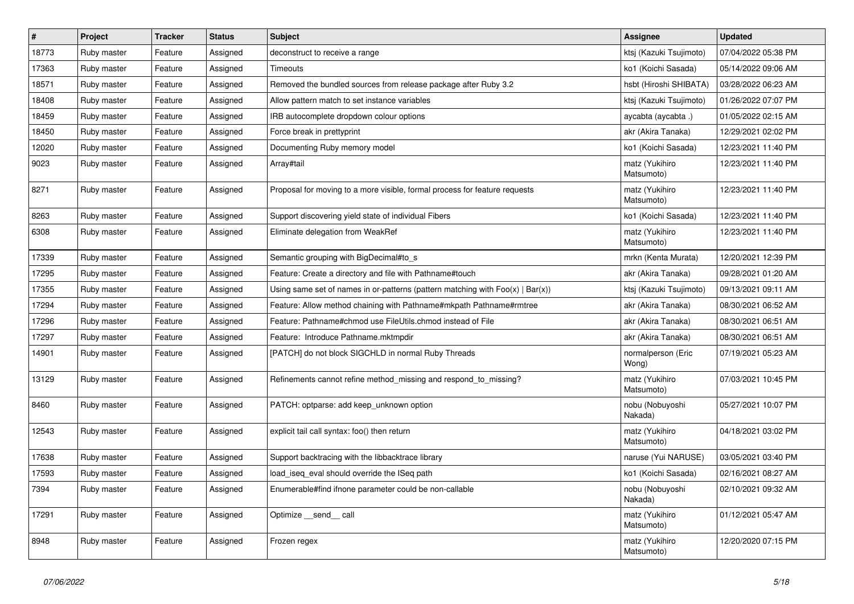| $\vert$ # | Project     | <b>Tracker</b> | <b>Status</b> | <b>Subject</b>                                                                    | Assignee                     | <b>Updated</b>      |
|-----------|-------------|----------------|---------------|-----------------------------------------------------------------------------------|------------------------------|---------------------|
| 18773     | Ruby master | Feature        | Assigned      | deconstruct to receive a range                                                    | ktsi (Kazuki Tsujimoto)      | 07/04/2022 05:38 PM |
| 17363     | Ruby master | Feature        | Assigned      | Timeouts                                                                          | ko1 (Koichi Sasada)          | 05/14/2022 09:06 AM |
| 18571     | Ruby master | Feature        | Assigned      | Removed the bundled sources from release package after Ruby 3.2                   | hsbt (Hiroshi SHIBATA)       | 03/28/2022 06:23 AM |
| 18408     | Ruby master | Feature        | Assigned      | Allow pattern match to set instance variables                                     | ktsj (Kazuki Tsujimoto)      | 01/26/2022 07:07 PM |
| 18459     | Ruby master | Feature        | Assigned      | IRB autocomplete dropdown colour options                                          | aycabta (aycabta.)           | 01/05/2022 02:15 AM |
| 18450     | Ruby master | Feature        | Assigned      | Force break in prettyprint                                                        | akr (Akira Tanaka)           | 12/29/2021 02:02 PM |
| 12020     | Ruby master | Feature        | Assigned      | Documenting Ruby memory model                                                     | ko1 (Koichi Sasada)          | 12/23/2021 11:40 PM |
| 9023      | Ruby master | Feature        | Assigned      | Array#tail                                                                        | matz (Yukihiro<br>Matsumoto) | 12/23/2021 11:40 PM |
| 8271      | Ruby master | Feature        | Assigned      | Proposal for moving to a more visible, formal process for feature requests        | matz (Yukihiro<br>Matsumoto) | 12/23/2021 11:40 PM |
| 8263      | Ruby master | Feature        | Assigned      | Support discovering yield state of individual Fibers                              | ko1 (Koichi Sasada)          | 12/23/2021 11:40 PM |
| 6308      | Ruby master | Feature        | Assigned      | Eliminate delegation from WeakRef                                                 | matz (Yukihiro<br>Matsumoto) | 12/23/2021 11:40 PM |
| 17339     | Ruby master | Feature        | Assigned      | Semantic grouping with BigDecimal#to_s                                            | mrkn (Kenta Murata)          | 12/20/2021 12:39 PM |
| 17295     | Ruby master | Feature        | Assigned      | Feature: Create a directory and file with Pathname#touch                          | akr (Akira Tanaka)           | 09/28/2021 01:20 AM |
| 17355     | Ruby master | Feature        | Assigned      | Using same set of names in or-patterns (pattern matching with $Foo(x)   Bar(x)$ ) | ktsj (Kazuki Tsujimoto)      | 09/13/2021 09:11 AM |
| 17294     | Ruby master | Feature        | Assigned      | Feature: Allow method chaining with Pathname#mkpath Pathname#rmtree               | akr (Akira Tanaka)           | 08/30/2021 06:52 AM |
| 17296     | Ruby master | Feature        | Assigned      | Feature: Pathname#chmod use FileUtils.chmod instead of File                       | akr (Akira Tanaka)           | 08/30/2021 06:51 AM |
| 17297     | Ruby master | Feature        | Assigned      | Feature: Introduce Pathname.mktmpdir                                              | akr (Akira Tanaka)           | 08/30/2021 06:51 AM |
| 14901     | Ruby master | Feature        | Assigned      | [PATCH] do not block SIGCHLD in normal Ruby Threads                               | normalperson (Eric<br>Wong)  | 07/19/2021 05:23 AM |
| 13129     | Ruby master | Feature        | Assigned      | Refinements cannot refine method_missing and respond_to_missing?                  | matz (Yukihiro<br>Matsumoto) | 07/03/2021 10:45 PM |
| 8460      | Ruby master | Feature        | Assigned      | PATCH: optparse: add keep unknown option                                          | nobu (Nobuyoshi<br>Nakada)   | 05/27/2021 10:07 PM |
| 12543     | Ruby master | Feature        | Assigned      | explicit tail call syntax: foo() then return                                      | matz (Yukihiro<br>Matsumoto) | 04/18/2021 03:02 PM |
| 17638     | Ruby master | Feature        | Assigned      | Support backtracing with the libbacktrace library                                 | naruse (Yui NARUSE)          | 03/05/2021 03:40 PM |
| 17593     | Ruby master | Feature        | Assigned      | load_iseq_eval should override the ISeq path                                      | ko1 (Koichi Sasada)          | 02/16/2021 08:27 AM |
| 7394      | Ruby master | Feature        | Assigned      | Enumerable#find ifnone parameter could be non-callable                            | nobu (Nobuyoshi<br>Nakada)   | 02/10/2021 09:32 AM |
| 17291     | Ruby master | Feature        | Assigned      | Optimize __send__ call                                                            | matz (Yukihiro<br>Matsumoto) | 01/12/2021 05:47 AM |
| 8948      | Ruby master | Feature        | Assigned      | Frozen regex                                                                      | matz (Yukihiro<br>Matsumoto) | 12/20/2020 07:15 PM |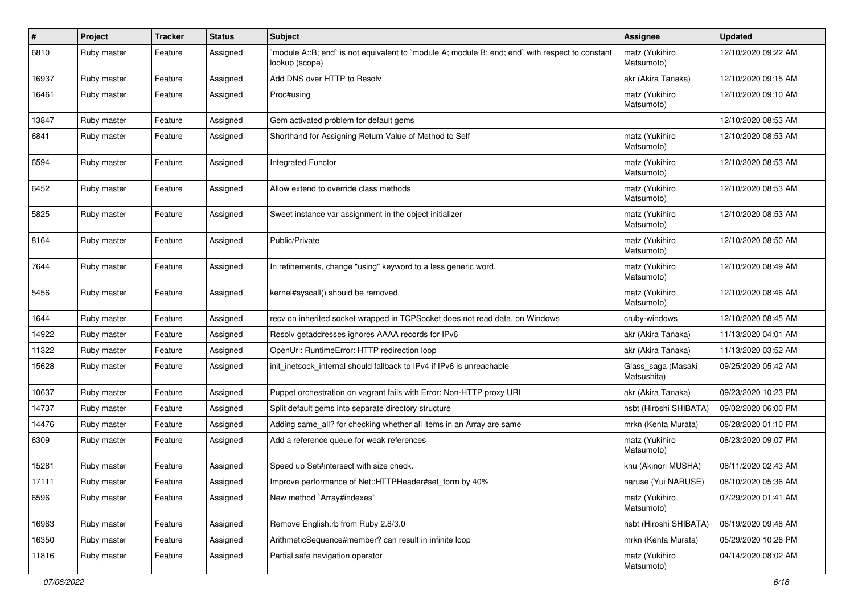| #     | Project     | <b>Tracker</b> | <b>Status</b> | <b>Subject</b>                                                                                                   | <b>Assignee</b>                   | <b>Updated</b>      |
|-------|-------------|----------------|---------------|------------------------------------------------------------------------------------------------------------------|-----------------------------------|---------------------|
| 6810  | Ruby master | Feature        | Assigned      | module A::B; end` is not equivalent to `module A; module B; end; end` with respect to constant<br>lookup (scope) | matz (Yukihiro<br>Matsumoto)      | 12/10/2020 09:22 AM |
| 16937 | Ruby master | Feature        | Assigned      | Add DNS over HTTP to Resolv                                                                                      | akr (Akira Tanaka)                | 12/10/2020 09:15 AM |
| 16461 | Ruby master | Feature        | Assigned      | Proc#using                                                                                                       | matz (Yukihiro<br>Matsumoto)      | 12/10/2020 09:10 AM |
| 13847 | Ruby master | Feature        | Assigned      | Gem activated problem for default gems                                                                           |                                   | 12/10/2020 08:53 AM |
| 6841  | Ruby master | Feature        | Assigned      | Shorthand for Assigning Return Value of Method to Self                                                           | matz (Yukihiro<br>Matsumoto)      | 12/10/2020 08:53 AM |
| 6594  | Ruby master | Feature        | Assigned      | <b>Integrated Functor</b>                                                                                        | matz (Yukihiro<br>Matsumoto)      | 12/10/2020 08:53 AM |
| 6452  | Ruby master | Feature        | Assigned      | Allow extend to override class methods                                                                           | matz (Yukihiro<br>Matsumoto)      | 12/10/2020 08:53 AM |
| 5825  | Ruby master | Feature        | Assigned      | Sweet instance var assignment in the object initializer                                                          | matz (Yukihiro<br>Matsumoto)      | 12/10/2020 08:53 AM |
| 8164  | Ruby master | Feature        | Assigned      | Public/Private                                                                                                   | matz (Yukihiro<br>Matsumoto)      | 12/10/2020 08:50 AM |
| 7644  | Ruby master | Feature        | Assigned      | In refinements, change "using" keyword to a less generic word.                                                   | matz (Yukihiro<br>Matsumoto)      | 12/10/2020 08:49 AM |
| 5456  | Ruby master | Feature        | Assigned      | kernel#syscall() should be removed.                                                                              | matz (Yukihiro<br>Matsumoto)      | 12/10/2020 08:46 AM |
| 1644  | Ruby master | Feature        | Assigned      | recv on inherited socket wrapped in TCPSocket does not read data, on Windows                                     | cruby-windows                     | 12/10/2020 08:45 AM |
| 14922 | Ruby master | Feature        | Assigned      | Resolv getaddresses ignores AAAA records for IPv6                                                                | akr (Akira Tanaka)                | 11/13/2020 04:01 AM |
| 11322 | Ruby master | Feature        | Assigned      | OpenUri: RuntimeError: HTTP redirection loop                                                                     | akr (Akira Tanaka)                | 11/13/2020 03:52 AM |
| 15628 | Ruby master | Feature        | Assigned      | init inetsock internal should fallback to IPv4 if IPv6 is unreachable                                            | Glass_saga (Masaki<br>Matsushita) | 09/25/2020 05:42 AM |
| 10637 | Ruby master | Feature        | Assigned      | Puppet orchestration on vagrant fails with Error: Non-HTTP proxy URI                                             | akr (Akira Tanaka)                | 09/23/2020 10:23 PM |
| 14737 | Ruby master | Feature        | Assigned      | Split default gems into separate directory structure                                                             | hsbt (Hiroshi SHIBATA)            | 09/02/2020 06:00 PM |
| 14476 | Ruby master | Feature        | Assigned      | Adding same_all? for checking whether all items in an Array are same                                             | mrkn (Kenta Murata)               | 08/28/2020 01:10 PM |
| 6309  | Ruby master | Feature        | Assigned      | Add a reference queue for weak references                                                                        | matz (Yukihiro<br>Matsumoto)      | 08/23/2020 09:07 PM |
| 15281 | Ruby master | Feature        | Assigned      | Speed up Set#intersect with size check.                                                                          | knu (Akinori MUSHA)               | 08/11/2020 02:43 AM |
| 17111 | Ruby master | Feature        | Assigned      | Improve performance of Net::HTTPHeader#set_form by 40%                                                           | naruse (Yui NARUSE)               | 08/10/2020 05:36 AM |
| 6596  | Ruby master | Feature        | Assigned      | New method `Array#indexes`                                                                                       | matz (Yukihiro<br>Matsumoto)      | 07/29/2020 01:41 AM |
| 16963 | Ruby master | Feature        | Assigned      | Remove English.rb from Ruby 2.8/3.0                                                                              | hsbt (Hiroshi SHIBATA)            | 06/19/2020 09:48 AM |
| 16350 | Ruby master | Feature        | Assigned      | ArithmeticSequence#member? can result in infinite loop                                                           | mrkn (Kenta Murata)               | 05/29/2020 10:26 PM |
| 11816 | Ruby master | Feature        | Assigned      | Partial safe navigation operator                                                                                 | matz (Yukihiro<br>Matsumoto)      | 04/14/2020 08:02 AM |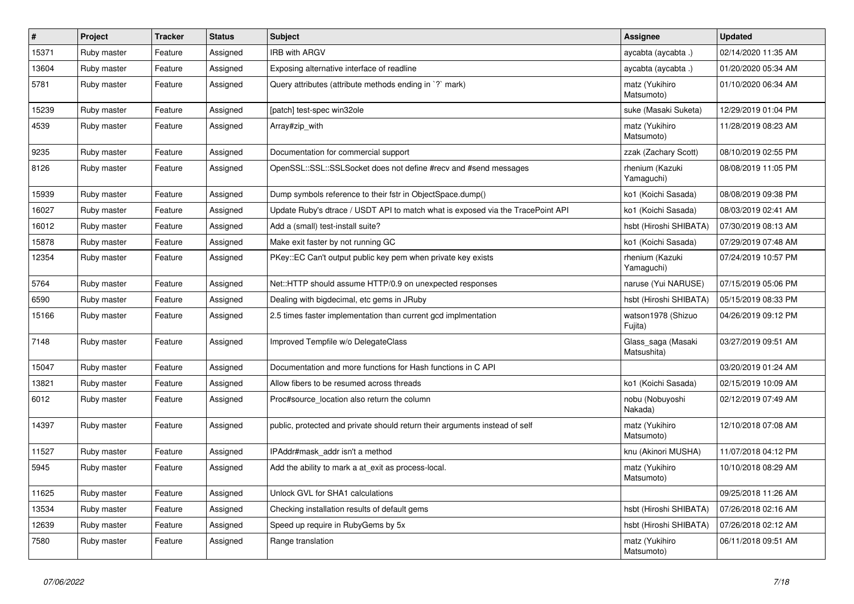| $\vert$ # | Project     | <b>Tracker</b> | <b>Status</b> | <b>Subject</b>                                                                  | <b>Assignee</b>                   | <b>Updated</b>      |
|-----------|-------------|----------------|---------------|---------------------------------------------------------------------------------|-----------------------------------|---------------------|
| 15371     | Ruby master | Feature        | Assigned      | <b>IRB with ARGV</b>                                                            | aycabta (aycabta.)                | 02/14/2020 11:35 AM |
| 13604     | Ruby master | Feature        | Assigned      | Exposing alternative interface of readline                                      | aycabta (aycabta.)                | 01/20/2020 05:34 AM |
| 5781      | Ruby master | Feature        | Assigned      | Query attributes (attribute methods ending in '?' mark)                         | matz (Yukihiro<br>Matsumoto)      | 01/10/2020 06:34 AM |
| 15239     | Ruby master | Feature        | Assigned      | [patch] test-spec win32ole                                                      | suke (Masaki Suketa)              | 12/29/2019 01:04 PM |
| 4539      | Ruby master | Feature        | Assigned      | Array#zip_with                                                                  | matz (Yukihiro<br>Matsumoto)      | 11/28/2019 08:23 AM |
| 9235      | Ruby master | Feature        | Assigned      | Documentation for commercial support                                            | zzak (Zachary Scott)              | 08/10/2019 02:55 PM |
| 8126      | Ruby master | Feature        | Assigned      | OpenSSL::SSL::SSLSocket does not define #recv and #send messages                | rhenium (Kazuki<br>Yamaguchi)     | 08/08/2019 11:05 PM |
| 15939     | Ruby master | Feature        | Assigned      | Dump symbols reference to their fstr in ObjectSpace.dump()                      | ko1 (Koichi Sasada)               | 08/08/2019 09:38 PM |
| 16027     | Ruby master | Feature        | Assigned      | Update Ruby's dtrace / USDT API to match what is exposed via the TracePoint API | ko1 (Koichi Sasada)               | 08/03/2019 02:41 AM |
| 16012     | Ruby master | Feature        | Assigned      | Add a (small) test-install suite?                                               | hsbt (Hiroshi SHIBATA)            | 07/30/2019 08:13 AM |
| 15878     | Ruby master | Feature        | Assigned      | Make exit faster by not running GC                                              | ko1 (Koichi Sasada)               | 07/29/2019 07:48 AM |
| 12354     | Ruby master | Feature        | Assigned      | PKey::EC Can't output public key pem when private key exists                    | rhenium (Kazuki<br>Yamaguchi)     | 07/24/2019 10:57 PM |
| 5764      | Ruby master | Feature        | Assigned      | Net::HTTP should assume HTTP/0.9 on unexpected responses                        | naruse (Yui NARUSE)               | 07/15/2019 05:06 PM |
| 6590      | Ruby master | Feature        | Assigned      | Dealing with bigdecimal, etc gems in JRuby                                      | hsbt (Hiroshi SHIBATA)            | 05/15/2019 08:33 PM |
| 15166     | Ruby master | Feature        | Assigned      | 2.5 times faster implementation than current gcd implmentation                  | watson1978 (Shizuo<br>Fujita)     | 04/26/2019 09:12 PM |
| 7148      | Ruby master | Feature        | Assigned      | Improved Tempfile w/o DelegateClass                                             | Glass_saga (Masaki<br>Matsushita) | 03/27/2019 09:51 AM |
| 15047     | Ruby master | Feature        | Assigned      | Documentation and more functions for Hash functions in C API                    |                                   | 03/20/2019 01:24 AM |
| 13821     | Ruby master | Feature        | Assigned      | Allow fibers to be resumed across threads                                       | ko1 (Koichi Sasada)               | 02/15/2019 10:09 AM |
| 6012      | Ruby master | Feature        | Assigned      | Proc#source_location also return the column                                     | nobu (Nobuyoshi<br>Nakada)        | 02/12/2019 07:49 AM |
| 14397     | Ruby master | Feature        | Assigned      | public, protected and private should return their arguments instead of self     | matz (Yukihiro<br>Matsumoto)      | 12/10/2018 07:08 AM |
| 11527     | Ruby master | Feature        | Assigned      | IPAddr#mask addr isn't a method                                                 | knu (Akinori MUSHA)               | 11/07/2018 04:12 PM |
| 5945      | Ruby master | Feature        | Assigned      | Add the ability to mark a at exit as process-local.                             | matz (Yukihiro<br>Matsumoto)      | 10/10/2018 08:29 AM |
| 11625     | Ruby master | Feature        | Assigned      | Unlock GVL for SHA1 calculations                                                |                                   | 09/25/2018 11:26 AM |
| 13534     | Ruby master | Feature        | Assigned      | Checking installation results of default gems                                   | hsbt (Hiroshi SHIBATA)            | 07/26/2018 02:16 AM |
| 12639     | Ruby master | Feature        | Assigned      | Speed up require in RubyGems by 5x                                              | hsbt (Hiroshi SHIBATA)            | 07/26/2018 02:12 AM |
| 7580      | Ruby master | Feature        | Assigned      | Range translation                                                               | matz (Yukihiro<br>Matsumoto)      | 06/11/2018 09:51 AM |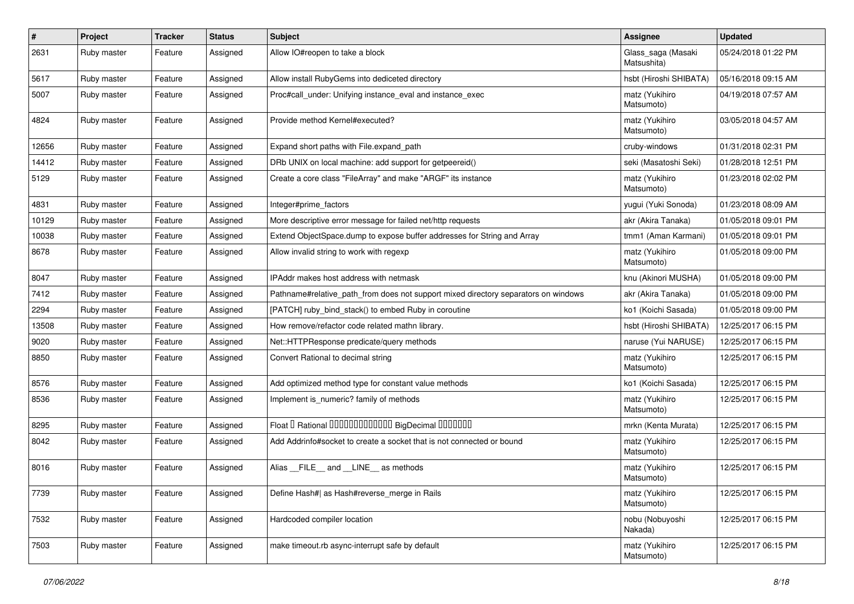| $\sharp$ | Project     | <b>Tracker</b> | <b>Status</b> | Subject                                                                            | Assignee                          | <b>Updated</b>      |
|----------|-------------|----------------|---------------|------------------------------------------------------------------------------------|-----------------------------------|---------------------|
| 2631     | Ruby master | Feature        | Assigned      | Allow IO#reopen to take a block                                                    | Glass_saga (Masaki<br>Matsushita) | 05/24/2018 01:22 PM |
| 5617     | Ruby master | Feature        | Assigned      | Allow install RubyGems into dediceted directory                                    | hsbt (Hiroshi SHIBATA)            | 05/16/2018 09:15 AM |
| 5007     | Ruby master | Feature        | Assigned      | Proc#call_under: Unifying instance_eval and instance_exec                          | matz (Yukihiro<br>Matsumoto)      | 04/19/2018 07:57 AM |
| 4824     | Ruby master | Feature        | Assigned      | Provide method Kernel#executed?                                                    | matz (Yukihiro<br>Matsumoto)      | 03/05/2018 04:57 AM |
| 12656    | Ruby master | Feature        | Assigned      | Expand short paths with File.expand_path                                           | cruby-windows                     | 01/31/2018 02:31 PM |
| 14412    | Ruby master | Feature        | Assigned      | DRb UNIX on local machine: add support for getpeereid()                            | seki (Masatoshi Seki)             | 01/28/2018 12:51 PM |
| 5129     | Ruby master | Feature        | Assigned      | Create a core class "FileArray" and make "ARGF" its instance                       | matz (Yukihiro<br>Matsumoto)      | 01/23/2018 02:02 PM |
| 4831     | Ruby master | Feature        | Assigned      | Integer#prime_factors                                                              | yugui (Yuki Sonoda)               | 01/23/2018 08:09 AM |
| 10129    | Ruby master | Feature        | Assigned      | More descriptive error message for failed net/http requests                        | akr (Akira Tanaka)                | 01/05/2018 09:01 PM |
| 10038    | Ruby master | Feature        | Assigned      | Extend ObjectSpace.dump to expose buffer addresses for String and Array            | tmm1 (Aman Karmani)               | 01/05/2018 09:01 PM |
| 8678     | Ruby master | Feature        | Assigned      | Allow invalid string to work with regexp                                           | matz (Yukihiro<br>Matsumoto)      | 01/05/2018 09:00 PM |
| 8047     | Ruby master | Feature        | Assigned      | IPAddr makes host address with netmask                                             | knu (Akinori MUSHA)               | 01/05/2018 09:00 PM |
| 7412     | Ruby master | Feature        | Assigned      | Pathname#relative_path_from does not support mixed directory separators on windows | akr (Akira Tanaka)                | 01/05/2018 09:00 PM |
| 2294     | Ruby master | Feature        | Assigned      | [PATCH] ruby_bind_stack() to embed Ruby in coroutine                               | ko1 (Koichi Sasada)               | 01/05/2018 09:00 PM |
| 13508    | Ruby master | Feature        | Assigned      | How remove/refactor code related mathn library.                                    | hsbt (Hiroshi SHIBATA)            | 12/25/2017 06:15 PM |
| 9020     | Ruby master | Feature        | Assigned      | Net::HTTPResponse predicate/query methods                                          | naruse (Yui NARUSE)               | 12/25/2017 06:15 PM |
| 8850     | Ruby master | Feature        | Assigned      | Convert Rational to decimal string                                                 | matz (Yukihiro<br>Matsumoto)      | 12/25/2017 06:15 PM |
| 8576     | Ruby master | Feature        | Assigned      | Add optimized method type for constant value methods                               | ko1 (Koichi Sasada)               | 12/25/2017 06:15 PM |
| 8536     | Ruby master | Feature        | Assigned      | Implement is_numeric? family of methods                                            | matz (Yukihiro<br>Matsumoto)      | 12/25/2017 06:15 PM |
| 8295     | Ruby master | Feature        | Assigned      | Float I Rational 0000000000000 BigDecimal 0000000                                  | mrkn (Kenta Murata)               | 12/25/2017 06:15 PM |
| 8042     | Ruby master | Feature        | Assigned      | Add Addrinfo#socket to create a socket that is not connected or bound              | matz (Yukihiro<br>Matsumoto)      | 12/25/2017 06:15 PM |
| 8016     | Ruby master | Feature        | Assigned      | Alias __FILE__ and __LINE__ as methods                                             | matz (Yukihiro<br>Matsumoto)      | 12/25/2017 06:15 PM |
| 7739     | Ruby master | Feature        | Assigned      | Define Hash#  as Hash#reverse_merge in Rails                                       | matz (Yukihiro<br>Matsumoto)      | 12/25/2017 06:15 PM |
| 7532     | Ruby master | Feature        | Assigned      | Hardcoded compiler location                                                        | nobu (Nobuyoshi<br>Nakada)        | 12/25/2017 06:15 PM |
| 7503     | Ruby master | Feature        | Assigned      | make timeout.rb async-interrupt safe by default                                    | matz (Yukihiro<br>Matsumoto)      | 12/25/2017 06:15 PM |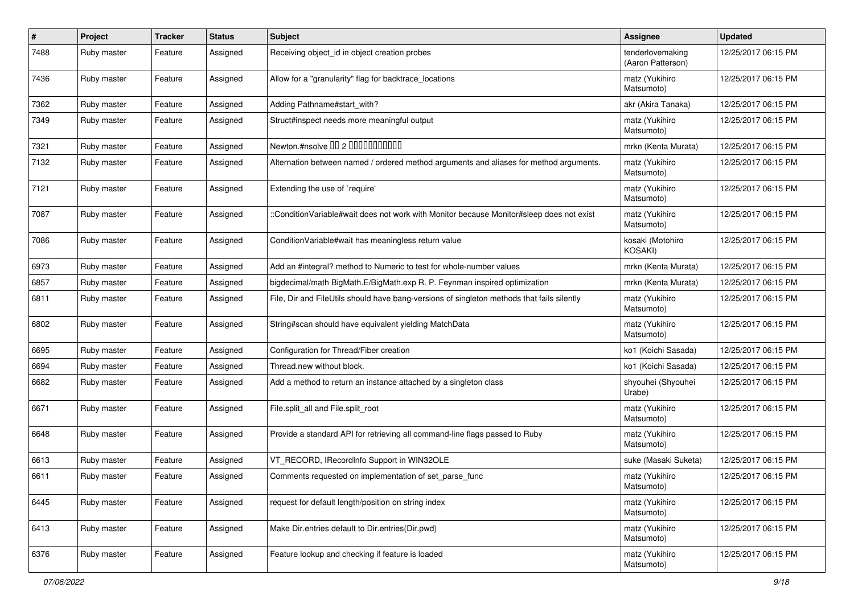| $\vert$ # | Project     | <b>Tracker</b> | <b>Status</b> | Subject                                                                                    | <b>Assignee</b>                       | <b>Updated</b>      |
|-----------|-------------|----------------|---------------|--------------------------------------------------------------------------------------------|---------------------------------------|---------------------|
| 7488      | Ruby master | Feature        | Assigned      | Receiving object id in object creation probes                                              | tenderlovemaking<br>(Aaron Patterson) | 12/25/2017 06:15 PM |
| 7436      | Ruby master | Feature        | Assigned      | Allow for a "granularity" flag for backtrace_locations                                     | matz (Yukihiro<br>Matsumoto)          | 12/25/2017 06:15 PM |
| 7362      | Ruby master | Feature        | Assigned      | Adding Pathname#start_with?                                                                | akr (Akira Tanaka)                    | 12/25/2017 06:15 PM |
| 7349      | Ruby master | Feature        | Assigned      | Struct#inspect needs more meaningful output                                                | matz (Yukihiro<br>Matsumoto)          | 12/25/2017 06:15 PM |
| 7321      | Ruby master | Feature        | Assigned      | Newton.#nsolve 00 2 0000000000                                                             | mrkn (Kenta Murata)                   | 12/25/2017 06:15 PM |
| 7132      | Ruby master | Feature        | Assigned      | Alternation between named / ordered method arguments and aliases for method arguments.     | matz (Yukihiro<br>Matsumoto)          | 12/25/2017 06:15 PM |
| 7121      | Ruby master | Feature        | Assigned      | Extending the use of `require'                                                             | matz (Yukihiro<br>Matsumoto)          | 12/25/2017 06:15 PM |
| 7087      | Ruby master | Feature        | Assigned      | ::ConditionVariable#wait does not work with Monitor because Monitor#sleep does not exist   | matz (Yukihiro<br>Matsumoto)          | 12/25/2017 06:15 PM |
| 7086      | Ruby master | Feature        | Assigned      | ConditionVariable#wait has meaningless return value                                        | kosaki (Motohiro<br><b>KOSAKI)</b>    | 12/25/2017 06:15 PM |
| 6973      | Ruby master | Feature        | Assigned      | Add an #integral? method to Numeric to test for whole-number values                        | mrkn (Kenta Murata)                   | 12/25/2017 06:15 PM |
| 6857      | Ruby master | Feature        | Assigned      | bigdecimal/math BigMath.E/BigMath.exp R. P. Feynman inspired optimization                  | mrkn (Kenta Murata)                   | 12/25/2017 06:15 PM |
| 6811      | Ruby master | Feature        | Assigned      | File, Dir and FileUtils should have bang-versions of singleton methods that fails silently | matz (Yukihiro<br>Matsumoto)          | 12/25/2017 06:15 PM |
| 6802      | Ruby master | Feature        | Assigned      | String#scan should have equivalent yielding MatchData                                      | matz (Yukihiro<br>Matsumoto)          | 12/25/2017 06:15 PM |
| 6695      | Ruby master | Feature        | Assigned      | Configuration for Thread/Fiber creation                                                    | ko1 (Koichi Sasada)                   | 12/25/2017 06:15 PM |
| 6694      | Ruby master | Feature        | Assigned      | Thread.new without block.                                                                  | ko1 (Koichi Sasada)                   | 12/25/2017 06:15 PM |
| 6682      | Ruby master | Feature        | Assigned      | Add a method to return an instance attached by a singleton class                           | shyouhei (Shyouhei<br>Urabe)          | 12/25/2017 06:15 PM |
| 6671      | Ruby master | Feature        | Assigned      | File.split_all and File.split_root                                                         | matz (Yukihiro<br>Matsumoto)          | 12/25/2017 06:15 PM |
| 6648      | Ruby master | Feature        | Assigned      | Provide a standard API for retrieving all command-line flags passed to Ruby                | matz (Yukihiro<br>Matsumoto)          | 12/25/2017 06:15 PM |
| 6613      | Ruby master | Feature        | Assigned      | VT_RECORD, IRecordInfo Support in WIN32OLE                                                 | suke (Masaki Suketa)                  | 12/25/2017 06:15 PM |
| 6611      | Ruby master | Feature        | Assigned      | Comments requested on implementation of set_parse_func                                     | matz (Yukihiro<br>Matsumoto)          | 12/25/2017 06:15 PM |
| 6445      | Ruby master | Feature        | Assigned      | request for default length/position on string index                                        | matz (Yukihiro<br>Matsumoto)          | 12/25/2017 06:15 PM |
| 6413      | Ruby master | Feature        | Assigned      | Make Dir.entries default to Dir.entries(Dir.pwd)                                           | matz (Yukihiro<br>Matsumoto)          | 12/25/2017 06:15 PM |
| 6376      | Ruby master | Feature        | Assigned      | Feature lookup and checking if feature is loaded                                           | matz (Yukihiro<br>Matsumoto)          | 12/25/2017 06:15 PM |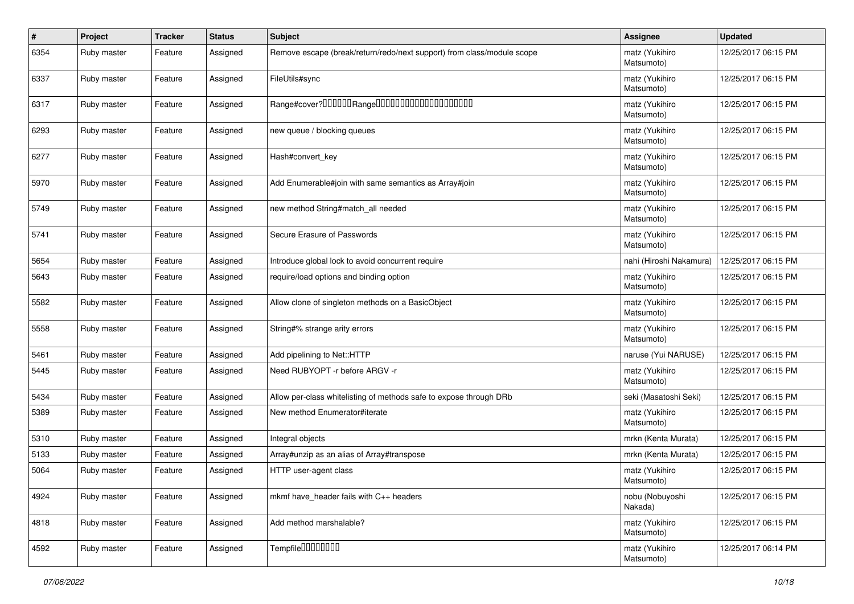| $\vert$ # | Project     | Tracker | <b>Status</b> | Subject                                                                | <b>Assignee</b>              | <b>Updated</b>      |
|-----------|-------------|---------|---------------|------------------------------------------------------------------------|------------------------------|---------------------|
| 6354      | Ruby master | Feature | Assigned      | Remove escape (break/return/redo/next support) from class/module scope | matz (Yukihiro<br>Matsumoto) | 12/25/2017 06:15 PM |
| 6337      | Ruby master | Feature | Assigned      | FileUtils#sync                                                         | matz (Yukihiro<br>Matsumoto) | 12/25/2017 06:15 PM |
| 6317      | Ruby master | Feature | Assigned      |                                                                        | matz (Yukihiro<br>Matsumoto) | 12/25/2017 06:15 PM |
| 6293      | Ruby master | Feature | Assigned      | new queue / blocking queues                                            | matz (Yukihiro<br>Matsumoto) | 12/25/2017 06:15 PM |
| 6277      | Ruby master | Feature | Assigned      | Hash#convert_key                                                       | matz (Yukihiro<br>Matsumoto) | 12/25/2017 06:15 PM |
| 5970      | Ruby master | Feature | Assigned      | Add Enumerable#join with same semantics as Array#join                  | matz (Yukihiro<br>Matsumoto) | 12/25/2017 06:15 PM |
| 5749      | Ruby master | Feature | Assigned      | new method String#match_all needed                                     | matz (Yukihiro<br>Matsumoto) | 12/25/2017 06:15 PM |
| 5741      | Ruby master | Feature | Assigned      | Secure Erasure of Passwords                                            | matz (Yukihiro<br>Matsumoto) | 12/25/2017 06:15 PM |
| 5654      | Ruby master | Feature | Assigned      | Introduce global lock to avoid concurrent require                      | nahi (Hiroshi Nakamura)      | 12/25/2017 06:15 PM |
| 5643      | Ruby master | Feature | Assigned      | require/load options and binding option                                | matz (Yukihiro<br>Matsumoto) | 12/25/2017 06:15 PM |
| 5582      | Ruby master | Feature | Assigned      | Allow clone of singleton methods on a BasicObject                      | matz (Yukihiro<br>Matsumoto) | 12/25/2017 06:15 PM |
| 5558      | Ruby master | Feature | Assigned      | String#% strange arity errors                                          | matz (Yukihiro<br>Matsumoto) | 12/25/2017 06:15 PM |
| 5461      | Ruby master | Feature | Assigned      | Add pipelining to Net::HTTP                                            | naruse (Yui NARUSE)          | 12/25/2017 06:15 PM |
| 5445      | Ruby master | Feature | Assigned      | Need RUBYOPT -r before ARGV -r                                         | matz (Yukihiro<br>Matsumoto) | 12/25/2017 06:15 PM |
| 5434      | Ruby master | Feature | Assigned      | Allow per-class whitelisting of methods safe to expose through DRb     | seki (Masatoshi Seki)        | 12/25/2017 06:15 PM |
| 5389      | Ruby master | Feature | Assigned      | New method Enumerator#iterate                                          | matz (Yukihiro<br>Matsumoto) | 12/25/2017 06:15 PM |
| 5310      | Ruby master | Feature | Assigned      | Integral objects                                                       | mrkn (Kenta Murata)          | 12/25/2017 06:15 PM |
| 5133      | Ruby master | Feature | Assigned      | Array#unzip as an alias of Array#transpose                             | mrkn (Kenta Murata)          | 12/25/2017 06:15 PM |
| 5064      | Ruby master | Feature | Assigned      | HTTP user-agent class                                                  | matz (Yukihiro<br>Matsumoto) | 12/25/2017 06:15 PM |
| 4924      | Ruby master | Feature | Assigned      | mkmf have header fails with C++ headers                                | nobu (Nobuyoshi<br>Nakada)   | 12/25/2017 06:15 PM |
| 4818      | Ruby master | Feature | Assigned      | Add method marshalable?                                                | matz (Yukihiro<br>Matsumoto) | 12/25/2017 06:15 PM |
| 4592      | Ruby master | Feature | Assigned      | Tempfile0000000                                                        | matz (Yukihiro<br>Matsumoto) | 12/25/2017 06:14 PM |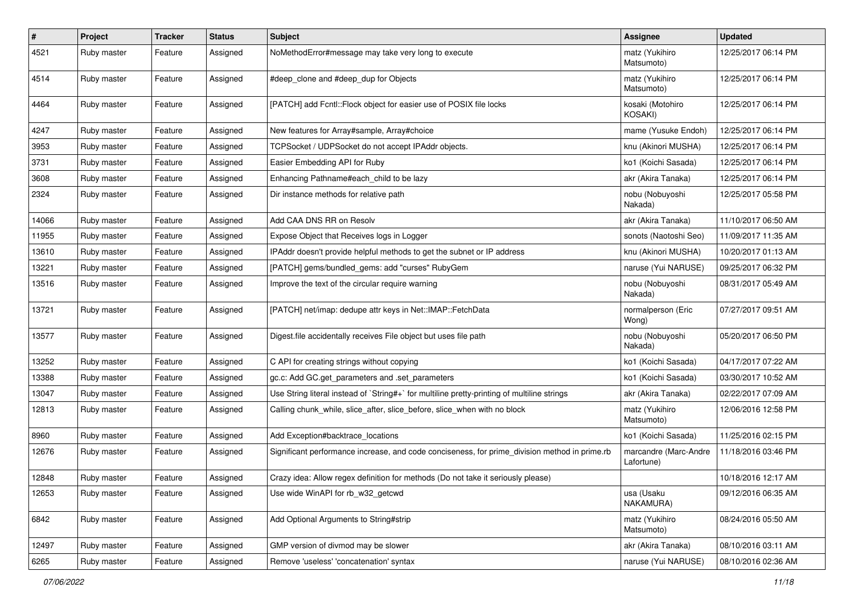| #     | Project     | <b>Tracker</b> | <b>Status</b> | Subject                                                                                       | Assignee                            | <b>Updated</b>      |
|-------|-------------|----------------|---------------|-----------------------------------------------------------------------------------------------|-------------------------------------|---------------------|
| 4521  | Ruby master | Feature        | Assigned      | NoMethodError#message may take very long to execute                                           | matz (Yukihiro<br>Matsumoto)        | 12/25/2017 06:14 PM |
| 4514  | Ruby master | Feature        | Assigned      | #deep_clone and #deep_dup for Objects                                                         | matz (Yukihiro<br>Matsumoto)        | 12/25/2017 06:14 PM |
| 4464  | Ruby master | Feature        | Assigned      | [PATCH] add Fcntl::Flock object for easier use of POSIX file locks                            | kosaki (Motohiro<br>KOSAKI)         | 12/25/2017 06:14 PM |
| 4247  | Ruby master | Feature        | Assigned      | New features for Array#sample, Array#choice                                                   | mame (Yusuke Endoh)                 | 12/25/2017 06:14 PM |
| 3953  | Ruby master | Feature        | Assigned      | TCPSocket / UDPSocket do not accept IPAddr objects.                                           | knu (Akinori MUSHA)                 | 12/25/2017 06:14 PM |
| 3731  | Ruby master | Feature        | Assigned      | Easier Embedding API for Ruby                                                                 | ko1 (Koichi Sasada)                 | 12/25/2017 06:14 PM |
| 3608  | Ruby master | Feature        | Assigned      | Enhancing Pathname#each_child to be lazy                                                      | akr (Akira Tanaka)                  | 12/25/2017 06:14 PM |
| 2324  | Ruby master | Feature        | Assigned      | Dir instance methods for relative path                                                        | nobu (Nobuyoshi<br>Nakada)          | 12/25/2017 05:58 PM |
| 14066 | Ruby master | Feature        | Assigned      | Add CAA DNS RR on Resolv                                                                      | akr (Akira Tanaka)                  | 11/10/2017 06:50 AM |
| 11955 | Ruby master | Feature        | Assigned      | Expose Object that Receives logs in Logger                                                    | sonots (Naotoshi Seo)               | 11/09/2017 11:35 AM |
| 13610 | Ruby master | Feature        | Assigned      | IPAddr doesn't provide helpful methods to get the subnet or IP address                        | knu (Akinori MUSHA)                 | 10/20/2017 01:13 AM |
| 13221 | Ruby master | Feature        | Assigned      | [PATCH] gems/bundled gems: add "curses" RubyGem                                               | naruse (Yui NARUSE)                 | 09/25/2017 06:32 PM |
| 13516 | Ruby master | Feature        | Assigned      | Improve the text of the circular require warning                                              | nobu (Nobuyoshi<br>Nakada)          | 08/31/2017 05:49 AM |
| 13721 | Ruby master | Feature        | Assigned      | [PATCH] net/imap: dedupe attr keys in Net::IMAP::FetchData                                    | normalperson (Eric<br>Wong)         | 07/27/2017 09:51 AM |
| 13577 | Ruby master | Feature        | Assigned      | Digest file accidentally receives File object but uses file path                              | nobu (Nobuyoshi<br>Nakada)          | 05/20/2017 06:50 PM |
| 13252 | Ruby master | Feature        | Assigned      | C API for creating strings without copying                                                    | ko1 (Koichi Sasada)                 | 04/17/2017 07:22 AM |
| 13388 | Ruby master | Feature        | Assigned      | gc.c: Add GC.get_parameters and .set_parameters                                               | ko1 (Koichi Sasada)                 | 03/30/2017 10:52 AM |
| 13047 | Ruby master | Feature        | Assigned      | Use String literal instead of `String#+` for multiline pretty-printing of multiline strings   | akr (Akira Tanaka)                  | 02/22/2017 07:09 AM |
| 12813 | Ruby master | Feature        | Assigned      | Calling chunk_while, slice_after, slice_before, slice_when with no block                      | matz (Yukihiro<br>Matsumoto)        | 12/06/2016 12:58 PM |
| 8960  | Ruby master | Feature        | Assigned      | Add Exception#backtrace_locations                                                             | ko1 (Koichi Sasada)                 | 11/25/2016 02:15 PM |
| 12676 | Ruby master | Feature        | Assigned      | Significant performance increase, and code conciseness, for prime_division method in prime.rb | marcandre (Marc-Andre<br>Lafortune) | 11/18/2016 03:46 PM |
| 12848 | Ruby master | Feature        | Assigned      | Crazy idea: Allow regex definition for methods (Do not take it seriously please)              |                                     | 10/18/2016 12:17 AM |
| 12653 | Ruby master | Feature        | Assigned      | Use wide WinAPI for rb_w32_getcwd                                                             | usa (Usaku<br>NAKAMURA)             | 09/12/2016 06:35 AM |
| 6842  | Ruby master | Feature        | Assigned      | Add Optional Arguments to String#strip                                                        | matz (Yukihiro<br>Matsumoto)        | 08/24/2016 05:50 AM |
| 12497 | Ruby master | Feature        | Assigned      | GMP version of divmod may be slower                                                           | akr (Akira Tanaka)                  | 08/10/2016 03:11 AM |
| 6265  | Ruby master | Feature        | Assigned      | Remove 'useless' 'concatenation' syntax                                                       | naruse (Yui NARUSE)                 | 08/10/2016 02:36 AM |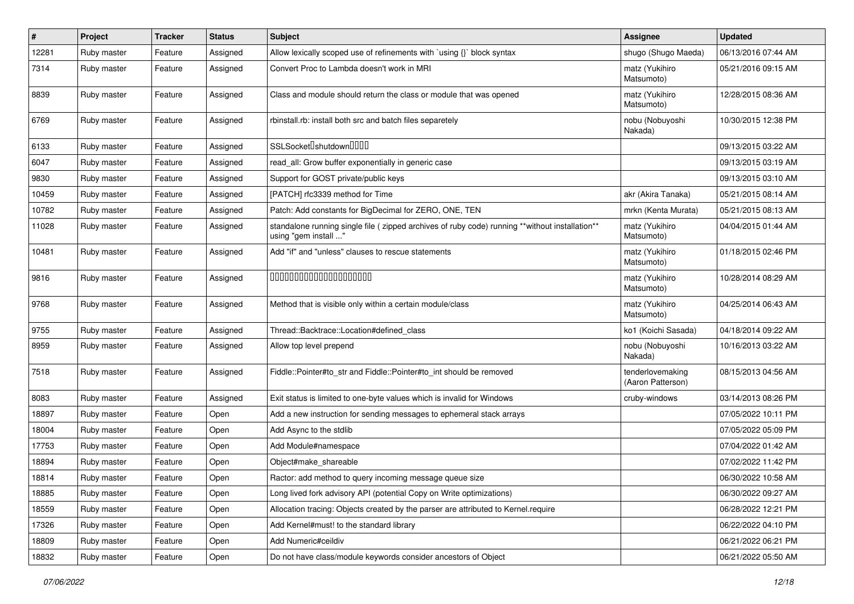| $\sharp$ | Project     | <b>Tracker</b> | <b>Status</b> | Subject                                                                                                                 | <b>Assignee</b>                       | <b>Updated</b>      |
|----------|-------------|----------------|---------------|-------------------------------------------------------------------------------------------------------------------------|---------------------------------------|---------------------|
| 12281    | Ruby master | Feature        | Assigned      | Allow lexically scoped use of refinements with `using {}` block syntax                                                  | shugo (Shugo Maeda)                   | 06/13/2016 07:44 AM |
| 7314     | Ruby master | Feature        | Assigned      | Convert Proc to Lambda doesn't work in MRI                                                                              | matz (Yukihiro<br>Matsumoto)          | 05/21/2016 09:15 AM |
| 8839     | Ruby master | Feature        | Assigned      | Class and module should return the class or module that was opened                                                      | matz (Yukihiro<br>Matsumoto)          | 12/28/2015 08:36 AM |
| 6769     | Ruby master | Feature        | Assigned      | rbinstall.rb: install both src and batch files separetely                                                               | nobu (Nobuyoshi<br>Nakada)            | 10/30/2015 12:38 PM |
| 6133     | Ruby master | Feature        | Assigned      | SSLSocket <sup>[</sup> shutdown <sup>[11]</sup>                                                                         |                                       | 09/13/2015 03:22 AM |
| 6047     | Ruby master | Feature        | Assigned      | read_all: Grow buffer exponentially in generic case                                                                     |                                       | 09/13/2015 03:19 AM |
| 9830     | Ruby master | Feature        | Assigned      | Support for GOST private/public keys                                                                                    |                                       | 09/13/2015 03:10 AM |
| 10459    | Ruby master | Feature        | Assigned      | [PATCH] rfc3339 method for Time                                                                                         | akr (Akira Tanaka)                    | 05/21/2015 08:14 AM |
| 10782    | Ruby master | Feature        | Assigned      | Patch: Add constants for BigDecimal for ZERO, ONE, TEN                                                                  | mrkn (Kenta Murata)                   | 05/21/2015 08:13 AM |
| 11028    | Ruby master | Feature        | Assigned      | standalone running single file ( zipped archives of ruby code) running **without installation**<br>using "gem install " | matz (Yukihiro<br>Matsumoto)          | 04/04/2015 01:44 AM |
| 10481    | Ruby master | Feature        | Assigned      | Add "if" and "unless" clauses to rescue statements                                                                      | matz (Yukihiro<br>Matsumoto)          | 01/18/2015 02:46 PM |
| 9816     | Ruby master | Feature        | Assigned      | 00000000000000000000                                                                                                    | matz (Yukihiro<br>Matsumoto)          | 10/28/2014 08:29 AM |
| 9768     | Ruby master | Feature        | Assigned      | Method that is visible only within a certain module/class                                                               | matz (Yukihiro<br>Matsumoto)          | 04/25/2014 06:43 AM |
| 9755     | Ruby master | Feature        | Assigned      | Thread::Backtrace::Location#defined_class                                                                               | ko1 (Koichi Sasada)                   | 04/18/2014 09:22 AM |
| 8959     | Ruby master | Feature        | Assigned      | Allow top level prepend                                                                                                 | nobu (Nobuyoshi<br>Nakada)            | 10/16/2013 03:22 AM |
| 7518     | Ruby master | Feature        | Assigned      | Fiddle::Pointer#to_str and Fiddle::Pointer#to_int should be removed                                                     | tenderlovemaking<br>(Aaron Patterson) | 08/15/2013 04:56 AM |
| 8083     | Ruby master | Feature        | Assigned      | Exit status is limited to one-byte values which is invalid for Windows                                                  | cruby-windows                         | 03/14/2013 08:26 PM |
| 18897    | Ruby master | Feature        | Open          | Add a new instruction for sending messages to ephemeral stack arrays                                                    |                                       | 07/05/2022 10:11 PM |
| 18004    | Ruby master | Feature        | Open          | Add Async to the stdlib                                                                                                 |                                       | 07/05/2022 05:09 PM |
| 17753    | Ruby master | Feature        | Open          | Add Module#namespace                                                                                                    |                                       | 07/04/2022 01:42 AM |
| 18894    | Ruby master | Feature        | Open          | Object#make_shareable                                                                                                   |                                       | 07/02/2022 11:42 PM |
| 18814    | Ruby master | Feature        | Open          | Ractor: add method to query incoming message queue size                                                                 |                                       | 06/30/2022 10:58 AM |
| 18885    | Ruby master | Feature        | Open          | Long lived fork advisory API (potential Copy on Write optimizations)                                                    |                                       | 06/30/2022 09:27 AM |
| 18559    | Ruby master | Feature        | Open          | Allocation tracing: Objects created by the parser are attributed to Kernel.require                                      |                                       | 06/28/2022 12:21 PM |
| 17326    | Ruby master | Feature        | Open          | Add Kernel#must! to the standard library                                                                                |                                       | 06/22/2022 04:10 PM |
| 18809    | Ruby master | Feature        | Open          | Add Numeric#ceildiv                                                                                                     |                                       | 06/21/2022 06:21 PM |
| 18832    | Ruby master | Feature        | Open          | Do not have class/module keywords consider ancestors of Object                                                          |                                       | 06/21/2022 05:50 AM |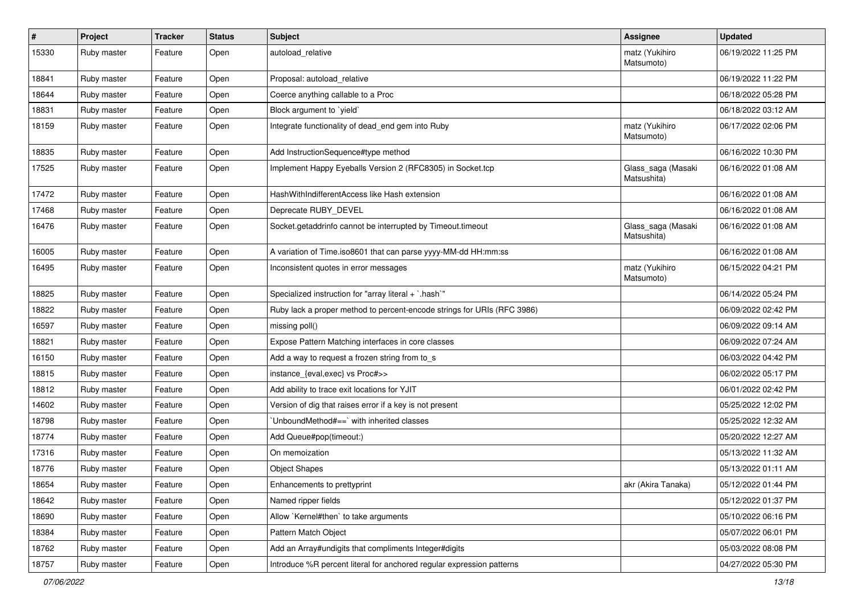| $\sharp$ | Project     | <b>Tracker</b> | <b>Status</b> | Subject                                                                 | Assignee                          | <b>Updated</b>      |
|----------|-------------|----------------|---------------|-------------------------------------------------------------------------|-----------------------------------|---------------------|
| 15330    | Ruby master | Feature        | Open          | autoload relative                                                       | matz (Yukihiro<br>Matsumoto)      | 06/19/2022 11:25 PM |
| 18841    | Ruby master | Feature        | Open          | Proposal: autoload relative                                             |                                   | 06/19/2022 11:22 PM |
| 18644    | Ruby master | Feature        | Open          | Coerce anything callable to a Proc                                      |                                   | 06/18/2022 05:28 PM |
| 18831    | Ruby master | Feature        | Open          | Block argument to 'yield'                                               |                                   | 06/18/2022 03:12 AM |
| 18159    | Ruby master | Feature        | Open          | Integrate functionality of dead_end gem into Ruby                       | matz (Yukihiro<br>Matsumoto)      | 06/17/2022 02:06 PM |
| 18835    | Ruby master | Feature        | Open          | Add InstructionSequence#type method                                     |                                   | 06/16/2022 10:30 PM |
| 17525    | Ruby master | Feature        | Open          | Implement Happy Eyeballs Version 2 (RFC8305) in Socket.tcp              | Glass_saga (Masaki<br>Matsushita) | 06/16/2022 01:08 AM |
| 17472    | Ruby master | Feature        | Open          | HashWithIndifferentAccess like Hash extension                           |                                   | 06/16/2022 01:08 AM |
| 17468    | Ruby master | Feature        | Open          | Deprecate RUBY_DEVEL                                                    |                                   | 06/16/2022 01:08 AM |
| 16476    | Ruby master | Feature        | Open          | Socket.getaddrinfo cannot be interrupted by Timeout.timeout             | Glass_saga (Masaki<br>Matsushita) | 06/16/2022 01:08 AM |
| 16005    | Ruby master | Feature        | Open          | A variation of Time.iso8601 that can parse yyyy-MM-dd HH:mm:ss          |                                   | 06/16/2022 01:08 AM |
| 16495    | Ruby master | Feature        | Open          | Inconsistent quotes in error messages                                   | matz (Yukihiro<br>Matsumoto)      | 06/15/2022 04:21 PM |
| 18825    | Ruby master | Feature        | Open          | Specialized instruction for "array literal + `.hash`"                   |                                   | 06/14/2022 05:24 PM |
| 18822    | Ruby master | Feature        | Open          | Ruby lack a proper method to percent-encode strings for URIs (RFC 3986) |                                   | 06/09/2022 02:42 PM |
| 16597    | Ruby master | Feature        | Open          | missing poll()                                                          |                                   | 06/09/2022 09:14 AM |
| 18821    | Ruby master | Feature        | Open          | Expose Pattern Matching interfaces in core classes                      |                                   | 06/09/2022 07:24 AM |
| 16150    | Ruby master | Feature        | Open          | Add a way to request a frozen string from to_s                          |                                   | 06/03/2022 04:42 PM |
| 18815    | Ruby master | Feature        | Open          | instance_{eval,exec} vs Proc#>>                                         |                                   | 06/02/2022 05:17 PM |
| 18812    | Ruby master | Feature        | Open          | Add ability to trace exit locations for YJIT                            |                                   | 06/01/2022 02:42 PM |
| 14602    | Ruby master | Feature        | Open          | Version of dig that raises error if a key is not present                |                                   | 05/25/2022 12:02 PM |
| 18798    | Ruby master | Feature        | Open          | UnboundMethod#==`with inherited classes                                 |                                   | 05/25/2022 12:32 AM |
| 18774    | Ruby master | Feature        | Open          | Add Queue#pop(timeout:)                                                 |                                   | 05/20/2022 12:27 AM |
| 17316    | Ruby master | Feature        | Open          | On memoization                                                          |                                   | 05/13/2022 11:32 AM |
| 18776    | Ruby master | Feature        | Open          | <b>Object Shapes</b>                                                    |                                   | 05/13/2022 01:11 AM |
| 18654    | Ruby master | Feature        | Open          | Enhancements to prettyprint                                             | akr (Akira Tanaka)                | 05/12/2022 01:44 PM |
| 18642    | Ruby master | Feature        | Open          | Named ripper fields                                                     |                                   | 05/12/2022 01:37 PM |
| 18690    | Ruby master | Feature        | Open          | Allow `Kernel#then` to take arguments                                   |                                   | 05/10/2022 06:16 PM |
| 18384    | Ruby master | Feature        | Open          | Pattern Match Object                                                    |                                   | 05/07/2022 06:01 PM |
| 18762    | Ruby master | Feature        | Open          | Add an Array#undigits that compliments Integer#digits                   |                                   | 05/03/2022 08:08 PM |
| 18757    | Ruby master | Feature        | Open          | Introduce %R percent literal for anchored regular expression patterns   |                                   | 04/27/2022 05:30 PM |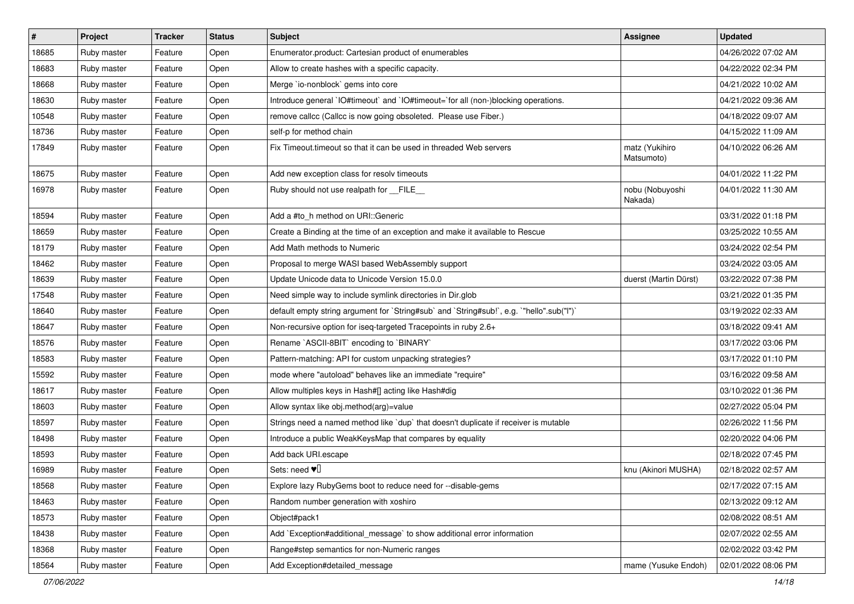| #     | Project     | <b>Tracker</b> | <b>Status</b> | Subject                                                                                   | Assignee                     | <b>Updated</b>      |
|-------|-------------|----------------|---------------|-------------------------------------------------------------------------------------------|------------------------------|---------------------|
| 18685 | Ruby master | Feature        | Open          | Enumerator.product: Cartesian product of enumerables                                      |                              | 04/26/2022 07:02 AM |
| 18683 | Ruby master | Feature        | Open          | Allow to create hashes with a specific capacity.                                          |                              | 04/22/2022 02:34 PM |
| 18668 | Ruby master | Feature        | Open          | Merge `io-nonblock` gems into core                                                        |                              | 04/21/2022 10:02 AM |
| 18630 | Ruby master | Feature        | Open          | Introduce general `IO#timeout` and `IO#timeout=`for all (non-)blocking operations.        |                              | 04/21/2022 09:36 AM |
| 10548 | Ruby master | Feature        | Open          | remove callcc (Callcc is now going obsoleted. Please use Fiber.)                          |                              | 04/18/2022 09:07 AM |
| 18736 | Ruby master | Feature        | Open          | self-p for method chain                                                                   |                              | 04/15/2022 11:09 AM |
| 17849 | Ruby master | Feature        | Open          | Fix Timeout timeout so that it can be used in threaded Web servers                        | matz (Yukihiro<br>Matsumoto) | 04/10/2022 06:26 AM |
| 18675 | Ruby master | Feature        | Open          | Add new exception class for resolv timeouts                                               |                              | 04/01/2022 11:22 PM |
| 16978 | Ruby master | Feature        | Open          | Ruby should not use realpath for FILE                                                     | nobu (Nobuyoshi<br>Nakada)   | 04/01/2022 11:30 AM |
| 18594 | Ruby master | Feature        | Open          | Add a #to_h method on URI::Generic                                                        |                              | 03/31/2022 01:18 PM |
| 18659 | Ruby master | Feature        | Open          | Create a Binding at the time of an exception and make it available to Rescue              |                              | 03/25/2022 10:55 AM |
| 18179 | Ruby master | Feature        | Open          | Add Math methods to Numeric                                                               |                              | 03/24/2022 02:54 PM |
| 18462 | Ruby master | Feature        | Open          | Proposal to merge WASI based WebAssembly support                                          |                              | 03/24/2022 03:05 AM |
| 18639 | Ruby master | Feature        | Open          | Update Unicode data to Unicode Version 15.0.0                                             | duerst (Martin Dürst)        | 03/22/2022 07:38 PM |
| 17548 | Ruby master | Feature        | Open          | Need simple way to include symlink directories in Dir.glob                                |                              | 03/21/2022 01:35 PM |
| 18640 | Ruby master | Feature        | Open          | default empty string argument for `String#sub` and `String#sub!`, e.g. `"hello".sub("I")` |                              | 03/19/2022 02:33 AM |
| 18647 | Ruby master | Feature        | Open          | Non-recursive option for iseq-targeted Tracepoints in ruby 2.6+                           |                              | 03/18/2022 09:41 AM |
| 18576 | Ruby master | Feature        | Open          | Rename `ASCII-8BIT` encoding to `BINARY`                                                  |                              | 03/17/2022 03:06 PM |
| 18583 | Ruby master | Feature        | Open          | Pattern-matching: API for custom unpacking strategies?                                    |                              | 03/17/2022 01:10 PM |
| 15592 | Ruby master | Feature        | Open          | mode where "autoload" behaves like an immediate "require"                                 |                              | 03/16/2022 09:58 AM |
| 18617 | Ruby master | Feature        | Open          | Allow multiples keys in Hash#[] acting like Hash#dig                                      |                              | 03/10/2022 01:36 PM |
| 18603 | Ruby master | Feature        | Open          | Allow syntax like obj.method(arg)=value                                                   |                              | 02/27/2022 05:04 PM |
| 18597 | Ruby master | Feature        | Open          | Strings need a named method like 'dup' that doesn't duplicate if receiver is mutable      |                              | 02/26/2022 11:56 PM |
| 18498 | Ruby master | Feature        | Open          | Introduce a public WeakKeysMap that compares by equality                                  |                              | 02/20/2022 04:06 PM |
| 18593 | Ruby master | Feature        | Open          | Add back URI.escape                                                                       |                              | 02/18/2022 07:45 PM |
| 16989 | Ruby master | Feature        | Open          | Sets: need $\Psi$                                                                         | knu (Akinori MUSHA)          | 02/18/2022 02:57 AM |
| 18568 | Ruby master | Feature        | Open          | Explore lazy RubyGems boot to reduce need for --disable-gems                              |                              | 02/17/2022 07:15 AM |
| 18463 | Ruby master | Feature        | Open          | Random number generation with xoshiro                                                     |                              | 02/13/2022 09:12 AM |
| 18573 | Ruby master | Feature        | Open          | Object#pack1                                                                              |                              | 02/08/2022 08:51 AM |
| 18438 | Ruby master | Feature        | Open          | Add `Exception#additional message` to show additional error information                   |                              | 02/07/2022 02:55 AM |
| 18368 | Ruby master | Feature        | Open          | Range#step semantics for non-Numeric ranges                                               |                              | 02/02/2022 03:42 PM |
| 18564 | Ruby master | Feature        | Open          | Add Exception#detailed_message                                                            | mame (Yusuke Endoh)          | 02/01/2022 08:06 PM |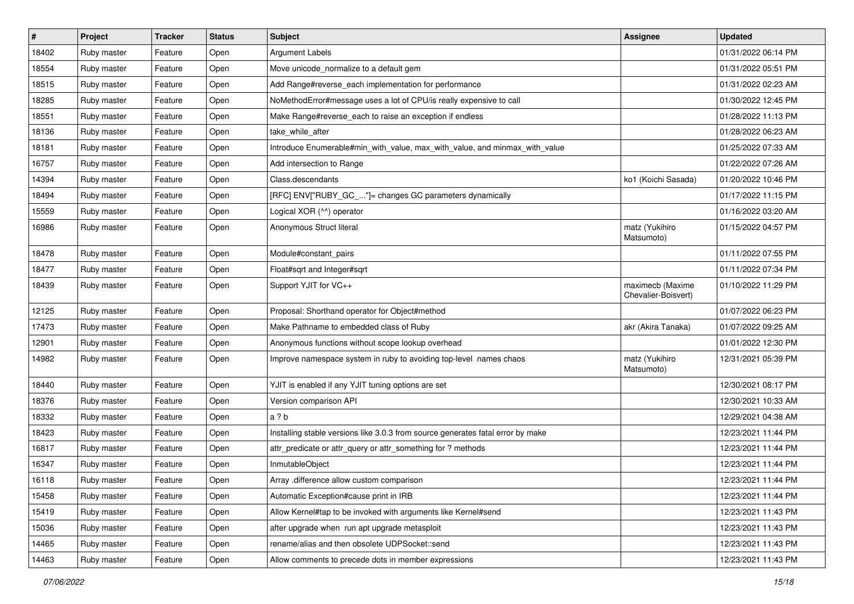| $\vert$ # | Project     | <b>Tracker</b> | <b>Status</b> | Subject                                                                         | Assignee                                | <b>Updated</b>      |
|-----------|-------------|----------------|---------------|---------------------------------------------------------------------------------|-----------------------------------------|---------------------|
| 18402     | Ruby master | Feature        | Open          | <b>Argument Labels</b>                                                          |                                         | 01/31/2022 06:14 PM |
| 18554     | Ruby master | Feature        | Open          | Move unicode_normalize to a default gem                                         |                                         | 01/31/2022 05:51 PM |
| 18515     | Ruby master | Feature        | Open          | Add Range#reverse_each implementation for performance                           |                                         | 01/31/2022 02:23 AM |
| 18285     | Ruby master | Feature        | Open          | NoMethodError#message uses a lot of CPU/is really expensive to call             |                                         | 01/30/2022 12:45 PM |
| 18551     | Ruby master | Feature        | Open          | Make Range#reverse_each to raise an exception if endless                        |                                         | 01/28/2022 11:13 PM |
| 18136     | Ruby master | Feature        | Open          | take while after                                                                |                                         | 01/28/2022 06:23 AM |
| 18181     | Ruby master | Feature        | Open          | Introduce Enumerable#min_with_value, max_with_value, and minmax_with_value      |                                         | 01/25/2022 07:33 AM |
| 16757     | Ruby master | Feature        | Open          | Add intersection to Range                                                       |                                         | 01/22/2022 07:26 AM |
| 14394     | Ruby master | Feature        | Open          | Class.descendants                                                               | ko1 (Koichi Sasada)                     | 01/20/2022 10:46 PM |
| 18494     | Ruby master | Feature        | Open          | [RFC] ENV["RUBY_GC_"]= changes GC parameters dynamically                        |                                         | 01/17/2022 11:15 PM |
| 15559     | Ruby master | Feature        | Open          | Logical XOR (^^) operator                                                       |                                         | 01/16/2022 03:20 AM |
| 16986     | Ruby master | Feature        | Open          | Anonymous Struct literal                                                        | matz (Yukihiro<br>Matsumoto)            | 01/15/2022 04:57 PM |
| 18478     | Ruby master | Feature        | Open          | Module#constant_pairs                                                           |                                         | 01/11/2022 07:55 PM |
| 18477     | Ruby master | Feature        | Open          | Float#sqrt and Integer#sqrt                                                     |                                         | 01/11/2022 07:34 PM |
| 18439     | Ruby master | Feature        | Open          | Support YJIT for VC++                                                           | maximecb (Maxime<br>Chevalier-Boisvert) | 01/10/2022 11:29 PM |
| 12125     | Ruby master | Feature        | Open          | Proposal: Shorthand operator for Object#method                                  |                                         | 01/07/2022 06:23 PM |
| 17473     | Ruby master | Feature        | Open          | Make Pathname to embedded class of Ruby                                         | akr (Akira Tanaka)                      | 01/07/2022 09:25 AM |
| 12901     | Ruby master | Feature        | Open          | Anonymous functions without scope lookup overhead                               |                                         | 01/01/2022 12:30 PM |
| 14982     | Ruby master | Feature        | Open          | Improve namespace system in ruby to avoiding top-level names chaos              | matz (Yukihiro<br>Matsumoto)            | 12/31/2021 05:39 PM |
| 18440     | Ruby master | Feature        | Open          | YJIT is enabled if any YJIT tuning options are set                              |                                         | 12/30/2021 08:17 PM |
| 18376     | Ruby master | Feature        | Open          | Version comparison API                                                          |                                         | 12/30/2021 10:33 AM |
| 18332     | Ruby master | Feature        | Open          | a ? b                                                                           |                                         | 12/29/2021 04:38 AM |
| 18423     | Ruby master | Feature        | Open          | Installing stable versions like 3.0.3 from source generates fatal error by make |                                         | 12/23/2021 11:44 PM |
| 16817     | Ruby master | Feature        | Open          | attr_predicate or attr_query or attr_something for ? methods                    |                                         | 12/23/2021 11:44 PM |
| 16347     | Ruby master | Feature        | Open          | InmutableObject                                                                 |                                         | 12/23/2021 11:44 PM |
| 16118     | Ruby master | Feature        | Open          | Array .difference allow custom comparison                                       |                                         | 12/23/2021 11:44 PM |
| 15458     | Ruby master | Feature        | Open          | Automatic Exception#cause print in IRB                                          |                                         | 12/23/2021 11:44 PM |
| 15419     | Ruby master | Feature        | Open          | Allow Kernel#tap to be invoked with arguments like Kernel#send                  |                                         | 12/23/2021 11:43 PM |
| 15036     | Ruby master | Feature        | Open          | after upgrade when run apt upgrade metasploit                                   |                                         | 12/23/2021 11:43 PM |
| 14465     | Ruby master | Feature        | Open          | rename/alias and then obsolete UDPSocket::send                                  |                                         | 12/23/2021 11:43 PM |
| 14463     | Ruby master | Feature        | Open          | Allow comments to precede dots in member expressions                            |                                         | 12/23/2021 11:43 PM |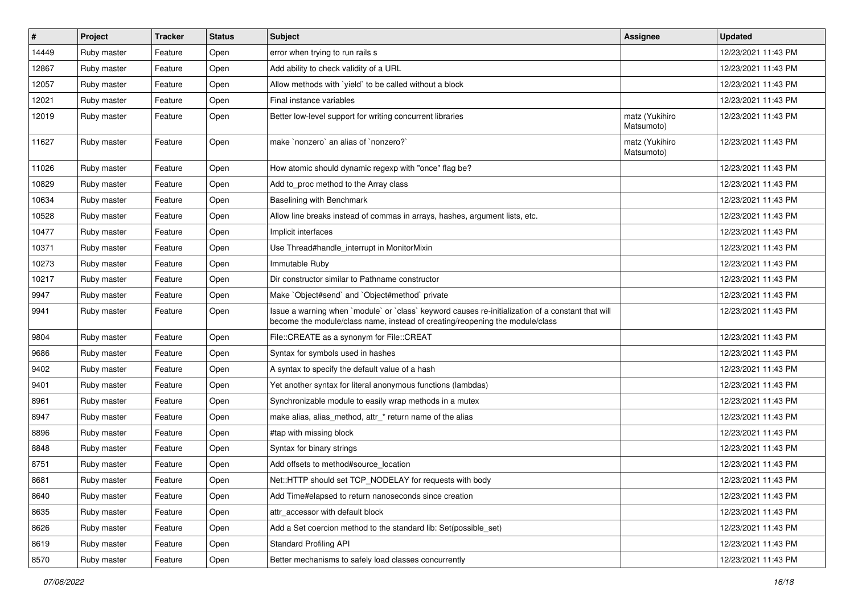| #     | Project     | Tracker | <b>Status</b> | Subject                                                                                                                                                                           | <b>Assignee</b>              | <b>Updated</b>      |
|-------|-------------|---------|---------------|-----------------------------------------------------------------------------------------------------------------------------------------------------------------------------------|------------------------------|---------------------|
| 14449 | Ruby master | Feature | Open          | error when trying to run rails s                                                                                                                                                  |                              | 12/23/2021 11:43 PM |
| 12867 | Ruby master | Feature | Open          | Add ability to check validity of a URL                                                                                                                                            |                              | 12/23/2021 11:43 PM |
| 12057 | Ruby master | Feature | Open          | Allow methods with `yield` to be called without a block                                                                                                                           |                              | 12/23/2021 11:43 PM |
| 12021 | Ruby master | Feature | Open          | Final instance variables                                                                                                                                                          |                              | 12/23/2021 11:43 PM |
| 12019 | Ruby master | Feature | Open          | Better low-level support for writing concurrent libraries                                                                                                                         | matz (Yukihiro<br>Matsumoto) | 12/23/2021 11:43 PM |
| 11627 | Ruby master | Feature | Open          | make `nonzero` an alias of `nonzero?`                                                                                                                                             | matz (Yukihiro<br>Matsumoto) | 12/23/2021 11:43 PM |
| 11026 | Ruby master | Feature | Open          | How atomic should dynamic regexp with "once" flag be?                                                                                                                             |                              | 12/23/2021 11:43 PM |
| 10829 | Ruby master | Feature | Open          | Add to_proc method to the Array class                                                                                                                                             |                              | 12/23/2021 11:43 PM |
| 10634 | Ruby master | Feature | Open          | Baselining with Benchmark                                                                                                                                                         |                              | 12/23/2021 11:43 PM |
| 10528 | Ruby master | Feature | Open          | Allow line breaks instead of commas in arrays, hashes, argument lists, etc.                                                                                                       |                              | 12/23/2021 11:43 PM |
| 10477 | Ruby master | Feature | Open          | Implicit interfaces                                                                                                                                                               |                              | 12/23/2021 11:43 PM |
| 10371 | Ruby master | Feature | Open          | Use Thread#handle interrupt in MonitorMixin                                                                                                                                       |                              | 12/23/2021 11:43 PM |
| 10273 | Ruby master | Feature | Open          | Immutable Ruby                                                                                                                                                                    |                              | 12/23/2021 11:43 PM |
| 10217 | Ruby master | Feature | Open          | Dir constructor similar to Pathname constructor                                                                                                                                   |                              | 12/23/2021 11:43 PM |
| 9947  | Ruby master | Feature | Open          | Make `Object#send` and `Object#method` private                                                                                                                                    |                              | 12/23/2021 11:43 PM |
| 9941  | Ruby master | Feature | Open          | Issue a warning when `module` or `class` keyword causes re-initialization of a constant that will<br>become the module/class name, instead of creating/reopening the module/class |                              | 12/23/2021 11:43 PM |
| 9804  | Ruby master | Feature | Open          | File::CREATE as a synonym for File::CREAT                                                                                                                                         |                              | 12/23/2021 11:43 PM |
| 9686  | Ruby master | Feature | Open          | Syntax for symbols used in hashes                                                                                                                                                 |                              | 12/23/2021 11:43 PM |
| 9402  | Ruby master | Feature | Open          | A syntax to specify the default value of a hash                                                                                                                                   |                              | 12/23/2021 11:43 PM |
| 9401  | Ruby master | Feature | Open          | Yet another syntax for literal anonymous functions (lambdas)                                                                                                                      |                              | 12/23/2021 11:43 PM |
| 8961  | Ruby master | Feature | Open          | Synchronizable module to easily wrap methods in a mutex                                                                                                                           |                              | 12/23/2021 11:43 PM |
| 8947  | Ruby master | Feature | Open          | make alias, alias_method, attr_* return name of the alias                                                                                                                         |                              | 12/23/2021 11:43 PM |
| 8896  | Ruby master | Feature | Open          | #tap with missing block                                                                                                                                                           |                              | 12/23/2021 11:43 PM |
| 8848  | Ruby master | Feature | Open          | Syntax for binary strings                                                                                                                                                         |                              | 12/23/2021 11:43 PM |
| 8751  | Ruby master | Feature | Open          | Add offsets to method#source_location                                                                                                                                             |                              | 12/23/2021 11:43 PM |
| 8681  | Ruby master | Feature | Open          | Net::HTTP should set TCP_NODELAY for requests with body                                                                                                                           |                              | 12/23/2021 11:43 PM |
| 8640  | Ruby master | Feature | Open          | Add Time#elapsed to return nanoseconds since creation                                                                                                                             |                              | 12/23/2021 11:43 PM |
| 8635  | Ruby master | Feature | Open          | attr_accessor with default block                                                                                                                                                  |                              | 12/23/2021 11:43 PM |
| 8626  | Ruby master | Feature | Open          | Add a Set coercion method to the standard lib: Set(possible_set)                                                                                                                  |                              | 12/23/2021 11:43 PM |
| 8619  | Ruby master | Feature | Open          | Standard Profiling API                                                                                                                                                            |                              | 12/23/2021 11:43 PM |
| 8570  | Ruby master | Feature | Open          | Better mechanisms to safely load classes concurrently                                                                                                                             |                              | 12/23/2021 11:43 PM |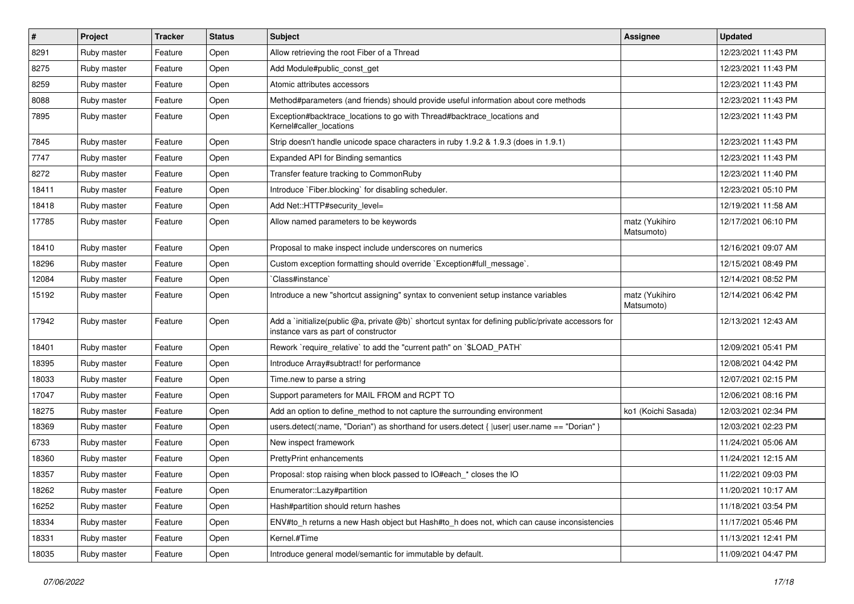| $\sharp$ | Project     | <b>Tracker</b> | <b>Status</b> | Subject                                                                                                                                     | Assignee                     | <b>Updated</b>      |
|----------|-------------|----------------|---------------|---------------------------------------------------------------------------------------------------------------------------------------------|------------------------------|---------------------|
| 8291     | Ruby master | Feature        | Open          | Allow retrieving the root Fiber of a Thread                                                                                                 |                              | 12/23/2021 11:43 PM |
| 8275     | Ruby master | Feature        | Open          | Add Module#public_const_get                                                                                                                 |                              | 12/23/2021 11:43 PM |
| 8259     | Ruby master | Feature        | Open          | Atomic attributes accessors                                                                                                                 |                              | 12/23/2021 11:43 PM |
| 8088     | Ruby master | Feature        | Open          | Method#parameters (and friends) should provide useful information about core methods                                                        |                              | 12/23/2021 11:43 PM |
| 7895     | Ruby master | Feature        | Open          | Exception#backtrace_locations to go with Thread#backtrace_locations and<br>Kernel#caller_locations                                          |                              | 12/23/2021 11:43 PM |
| 7845     | Ruby master | Feature        | Open          | Strip doesn't handle unicode space characters in ruby 1.9.2 & 1.9.3 (does in 1.9.1)                                                         |                              | 12/23/2021 11:43 PM |
| 7747     | Ruby master | Feature        | Open          | Expanded API for Binding semantics                                                                                                          |                              | 12/23/2021 11:43 PM |
| 8272     | Ruby master | Feature        | Open          | Transfer feature tracking to CommonRuby                                                                                                     |                              | 12/23/2021 11:40 PM |
| 18411    | Ruby master | Feature        | Open          | Introduce `Fiber.blocking` for disabling scheduler.                                                                                         |                              | 12/23/2021 05:10 PM |
| 18418    | Ruby master | Feature        | Open          | Add Net::HTTP#security_level=                                                                                                               |                              | 12/19/2021 11:58 AM |
| 17785    | Ruby master | Feature        | Open          | Allow named parameters to be keywords                                                                                                       | matz (Yukihiro<br>Matsumoto) | 12/17/2021 06:10 PM |
| 18410    | Ruby master | Feature        | Open          | Proposal to make inspect include underscores on numerics                                                                                    |                              | 12/16/2021 09:07 AM |
| 18296    | Ruby master | Feature        | Open          | Custom exception formatting should override `Exception#full_message`.                                                                       |                              | 12/15/2021 08:49 PM |
| 12084    | Ruby master | Feature        | Open          | 'Class#instance'                                                                                                                            |                              | 12/14/2021 08:52 PM |
| 15192    | Ruby master | Feature        | Open          | Introduce a new "shortcut assigning" syntax to convenient setup instance variables                                                          | matz (Yukihiro<br>Matsumoto) | 12/14/2021 06:42 PM |
| 17942    | Ruby master | Feature        | Open          | Add a `initialize(public @a, private @b)` shortcut syntax for defining public/private accessors for<br>instance vars as part of constructor |                              | 12/13/2021 12:43 AM |
| 18401    | Ruby master | Feature        | Open          | Rework `require_relative` to add the "current path" on `\$LOAD_PATH`                                                                        |                              | 12/09/2021 05:41 PM |
| 18395    | Ruby master | Feature        | Open          | Introduce Array#subtract! for performance                                                                                                   |                              | 12/08/2021 04:42 PM |
| 18033    | Ruby master | Feature        | Open          | Time.new to parse a string                                                                                                                  |                              | 12/07/2021 02:15 PM |
| 17047    | Ruby master | Feature        | Open          | Support parameters for MAIL FROM and RCPT TO                                                                                                |                              | 12/06/2021 08:16 PM |
| 18275    | Ruby master | Feature        | Open          | Add an option to define_method to not capture the surrounding environment                                                                   | ko1 (Koichi Sasada)          | 12/03/2021 02:34 PM |
| 18369    | Ruby master | Feature        | Open          | users.detect(:name, "Dorian") as shorthand for users.detect {  user  user.name == "Dorian" }                                                |                              | 12/03/2021 02:23 PM |
| 6733     | Ruby master | Feature        | Open          | New inspect framework                                                                                                                       |                              | 11/24/2021 05:06 AM |
| 18360    | Ruby master | Feature        | Open          | PrettyPrint enhancements                                                                                                                    |                              | 11/24/2021 12:15 AM |
| 18357    | Ruby master | Feature        | Open          | Proposal: stop raising when block passed to IO#each * closes the IO                                                                         |                              | 11/22/2021 09:03 PM |
| 18262    | Ruby master | Feature        | Open          | Enumerator::Lazy#partition                                                                                                                  |                              | 11/20/2021 10:17 AM |
| 16252    | Ruby master | Feature        | Open          | Hash#partition should return hashes                                                                                                         |                              | 11/18/2021 03:54 PM |
| 18334    | Ruby master | Feature        | Open          | ENV#to h returns a new Hash object but Hash#to h does not, which can cause inconsistencies                                                  |                              | 11/17/2021 05:46 PM |
| 18331    | Ruby master | Feature        | Open          | Kernel.#Time                                                                                                                                |                              | 11/13/2021 12:41 PM |
| 18035    | Ruby master | Feature        | Open          | Introduce general model/semantic for immutable by default.                                                                                  |                              | 11/09/2021 04:47 PM |